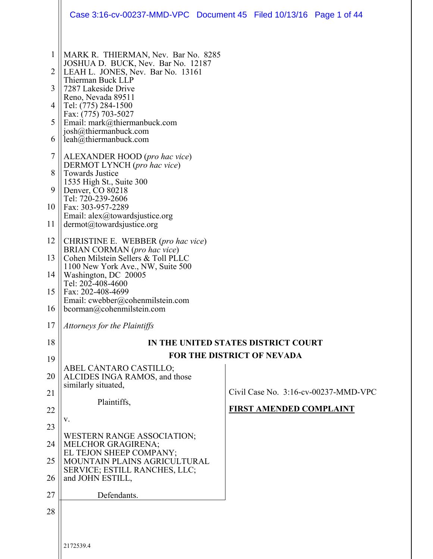|                          | Case 3:16-cv-00237-MMD-VPC  Document 45  Filed 10/13/16  Page 1 of 44          |  |                                     |                                         |
|--------------------------|--------------------------------------------------------------------------------|--|-------------------------------------|-----------------------------------------|
| $\mathbf{1}$             | MARK R. THIERMAN, Nev. Bar No. 8285                                            |  |                                     |                                         |
| 2                        | JOSHUA D. BUCK, Nev. Bar No. 12187<br>LEAH L. JONES, Nev. Bar No. 13161        |  |                                     |                                         |
| 3                        | Thierman Buck LLP<br>7287 Lakeside Drive                                       |  |                                     |                                         |
| 4                        | Reno, Nevada 89511<br>Tel: (775) 284-1500                                      |  |                                     |                                         |
| 5                        | Fax: (775) 703-5027<br>Email: mark@thiermanbuck.com                            |  |                                     |                                         |
| 6                        | josh@thiermanbuck.com<br>leah@thiermanbuck.com                                 |  |                                     |                                         |
| $\overline{\mathcal{L}}$ | ALEXANDER HOOD (pro hac vice)<br>DERMOT LYNCH (pro hac vice)                   |  |                                     |                                         |
| 8<br>9                   | <b>Towards Justice</b><br>1535 High St., Suite 300<br>Denver, CO 80218         |  |                                     |                                         |
| 10                       | Tel: 720-239-2606<br>Fax: 303-957-2289                                         |  |                                     |                                         |
| 11                       | Email: alex@towardsjustice.org<br>$dermot(a)$ towardsjustice.org               |  |                                     |                                         |
| 12                       | CHRISTINE E. WEBBER (pro hac vice)                                             |  |                                     |                                         |
| 13                       | BRIAN CORMAN (pro hac vice)<br>Cohen Milstein Sellers & Toll PLLC              |  |                                     |                                         |
| 14                       | 1100 New York Ave., NW, Suite 500<br>Washington, DC 20005<br>Tel: 202-408-4600 |  |                                     |                                         |
| 15                       | Fax: 202-408-4699<br>Email: cwebber@cohenmilstein.com                          |  |                                     |                                         |
| 16                       | bcorman@cohenmilstein.com                                                      |  |                                     |                                         |
| 17                       | Attorneys for the Plaintiffs                                                   |  |                                     |                                         |
| 18                       |                                                                                |  | IN THE UNITED STATES DISTRICT COURT |                                         |
| 19                       | <b>FOR THE DISTRICT OF NEVADA</b>                                              |  |                                     |                                         |
| 20                       | ABEL CANTARO CASTILLO;<br>ALCIDES INGA RAMOS, and those                        |  |                                     |                                         |
| 21                       | similarly situated,                                                            |  |                                     | Civil Case No. $3:16$ -cv-00237-MMD-VPC |
| 22                       | Plaintiffs,                                                                    |  | <b>FIRST AMENDED COMPLAINT</b>      |                                         |
| 23                       | V.                                                                             |  |                                     |                                         |
| 24                       | <b>WESTERN RANGE ASSOCIATION;</b><br><b>MELCHOR GRAGIRENA;</b>                 |  |                                     |                                         |
| 25                       | EL TEJON SHEEP COMPANY;<br>MOUNTAIN PLAINS AGRICULTURAL                        |  |                                     |                                         |
| 26                       | SERVICE; ESTILL RANCHES, LLC;<br>and JOHN ESTILL,                              |  |                                     |                                         |
| 27                       | Defendants.                                                                    |  |                                     |                                         |
| 28                       |                                                                                |  |                                     |                                         |
|                          |                                                                                |  |                                     |                                         |
|                          | 2172539.4                                                                      |  |                                     |                                         |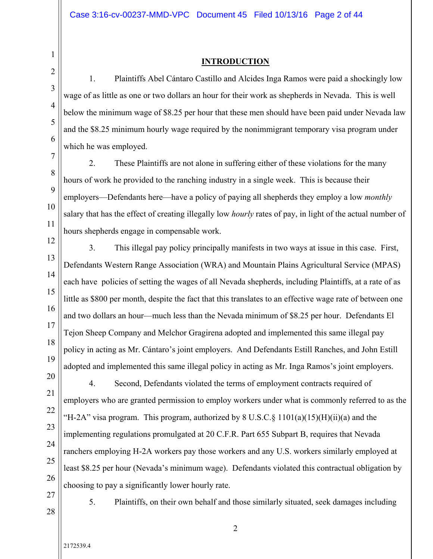#### **INTRODUCTION**

1. Plaintiffs Abel Cántaro Castillo and Alcides Inga Ramos were paid a shockingly low wage of as little as one or two dollars an hour for their work as shepherds in Nevada. This is well below the minimum wage of \$8.25 per hour that these men should have been paid under Nevada law and the \$8.25 minimum hourly wage required by the nonimmigrant temporary visa program under which he was employed.

2. These Plaintiffs are not alone in suffering either of these violations for the many hours of work he provided to the ranching industry in a single week. This is because their employers—Defendants here—have a policy of paying all shepherds they employ a low *monthly* salary that has the effect of creating illegally low *hourly* rates of pay, in light of the actual number of hours shepherds engage in compensable work.

12 13 14 15 16 17 18 19 3. This illegal pay policy principally manifests in two ways at issue in this case. First, Defendants Western Range Association (WRA) and Mountain Plains Agricultural Service (MPAS) each have policies of setting the wages of all Nevada shepherds, including Plaintiffs, at a rate of as little as \$800 per month, despite the fact that this translates to an effective wage rate of between one and two dollars an hour—much less than the Nevada minimum of \$8.25 per hour. Defendants El Tejon Sheep Company and Melchor Gragirena adopted and implemented this same illegal pay policy in acting as Mr. Cántaro's joint employers. And Defendants Estill Ranches, and John Estill adopted and implemented this same illegal policy in acting as Mr. Inga Ramos's joint employers.

20 21 22 23 24 25 26 4. Second, Defendants violated the terms of employment contracts required of employers who are granted permission to employ workers under what is commonly referred to as the "H-2A" visa program. This program, authorized by  $8 \text{ U.S.C.} \S 1101(a)(15)(\text{H})(\text{ii})(a)$  and the implementing regulations promulgated at 20 C.F.R. Part 655 Subpart B, requires that Nevada ranchers employing H-2A workers pay those workers and any U.S. workers similarly employed at least \$8.25 per hour (Nevada's minimum wage). Defendants violated this contractual obligation by choosing to pay a significantly lower hourly rate.

27 28

1

2

3

4

5

6

7

8

9

10

11

5. Plaintiffs, on their own behalf and those similarly situated, seek damages including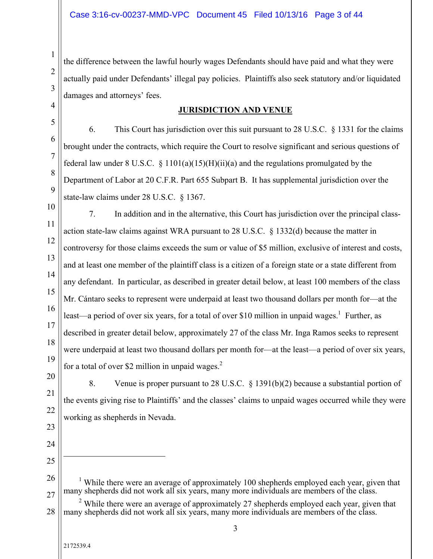the difference between the lawful hourly wages Defendants should have paid and what they were actually paid under Defendants' illegal pay policies. Plaintiffs also seek statutory and/or liquidated damages and attorneys' fees.

#### **JURISDICTION AND VENUE**

6. This Court has jurisdiction over this suit pursuant to 28 U.S.C. § 1331 for the claims brought under the contracts, which require the Court to resolve significant and serious questions of federal law under 8 U.S.C.  $\S$  1101(a)(15)(H)(ii)(a) and the regulations promulgated by the Department of Labor at 20 C.F.R. Part 655 Subpart B. It has supplemental jurisdiction over the state-law claims under 28 U.S.C. § 1367.

10 11 12 13 14 15 16 17 18 7. In addition and in the alternative, this Court has jurisdiction over the principal classaction state-law claims against WRA pursuant to 28 U.S.C. § 1332(d) because the matter in controversy for those claims exceeds the sum or value of \$5 million, exclusive of interest and costs, and at least one member of the plaintiff class is a citizen of a foreign state or a state different from any defendant. In particular, as described in greater detail below, at least 100 members of the class Mr. Cántaro seeks to represent were underpaid at least two thousand dollars per month for—at the least—a period of over six years, for a total of over \$10 million in unpaid wages.<sup>1</sup> Further, as described in greater detail below, approximately 27 of the class Mr. Inga Ramos seeks to represent were underpaid at least two thousand dollars per month for—at the least—a period of over six years, for a total of over \$2 million in unpaid wages. $<sup>2</sup>$ </sup>

19 20 21

1

2

3

4

5

6

7

8

9

8. Venue is proper pursuant to 28 U.S.C. § 1391(b)(2) because a substantial portion of the events giving rise to Plaintiffs' and the classes' claims to unpaid wages occurred while they were working as shepherds in Nevada.

23 24

22

25

 $\overline{a}$ 

26 27 <sup>1</sup> While there were an average of approximately 100 shepherds employed each year, given that many shepherds did not work all six years, many more individuals are members of the class.

<sup>28</sup> <sup>2</sup> While there were an average of approximately 27 shepherds employed each year, given that many shepherds did not work all six years, many more individuals are members of the class.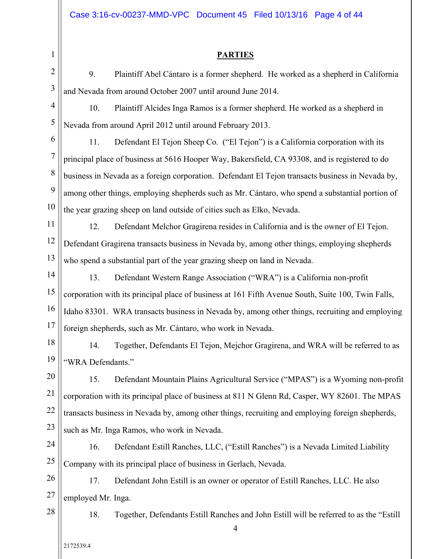Case 3:16-cv-00237-MMD-VPC Document 45 Filed 10/13/16 Page 4 of 44

#### **PARTIES**

2

3

1

9. Plaintiff Abel Cántaro is a former shepherd. He worked as a shepherd in California and Nevada from around October 2007 until around June 2014.

4 5 10. Plaintiff Alcides Inga Ramos is a former shepherd. He worked as a shepherd in Nevada from around April 2012 until around February 2013.

6 7 8 9 10 11. Defendant El Tejon Sheep Co. ("El Tejon") is a California corporation with its principal place of business at 5616 Hooper Way, Bakersfield, CA 93308, and is registered to do business in Nevada as a foreign corporation. Defendant El Tejon transacts business in Nevada by, among other things, employing shepherds such as Mr. Cántaro, who spend a substantial portion of the year grazing sheep on land outside of cities such as Elko, Nevada.

11 12 13 12. Defendant Melchor Gragirena resides in California and is the owner of El Tejon. Defendant Gragirena transacts business in Nevada by, among other things, employing shepherds who spend a substantial part of the year grazing sheep on land in Nevada.

14 15 16 17 13. Defendant Western Range Association ("WRA") is a California non-profit corporation with its principal place of business at 161 Fifth Avenue South, Suite 100, Twin Falls, Idaho 83301. WRA transacts business in Nevada by, among other things, recruiting and employing foreign shepherds, such as Mr. Cántaro, who work in Nevada.

18 19 14. Together, Defendants El Tejon, Mejchor Gragirena, and WRA will be referred to as "WRA Defendants."

20 21 22 23 15. Defendant Mountain Plains Agricultural Service ("MPAS") is a Wyoming non-profit corporation with its principal place of business at 811 N Glenn Rd, Casper, WY 82601. The MPAS transacts business in Nevada by, among other things, recruiting and employing foreign shepherds, such as Mr. Inga Ramos, who work in Nevada.

24 25 16. Defendant Estill Ranches, LLC, ("Estill Ranches") is a Nevada Limited Liability Company with its principal place of business in Gerlach, Nevada.

26 27 17. Defendant John Estill is an owner or operator of Estill Ranches, LLC. He also employed Mr. Inga.

28

18. Together, Defendants Estill Ranches and John Estill will be referred to as the "Estill

4

2172539.4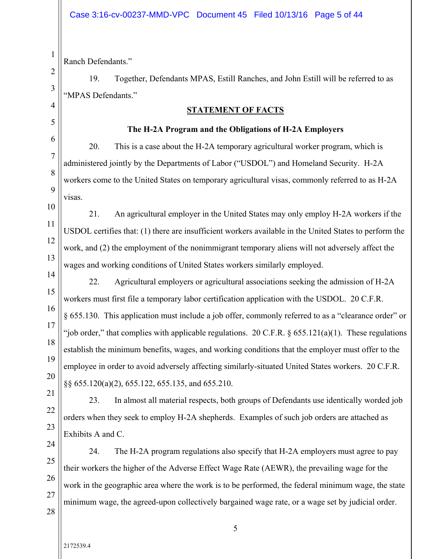Ranch Defendants."

1

2

3

4

5

6

7

8

9

10

11

12

13

14

19. Together, Defendants MPAS, Estill Ranches, and John Estill will be referred to as "MPAS Defendants."

#### **STATEMENT OF FACTS**

#### **The H-2A Program and the Obligations of H-2A Employers**

20. This is a case about the H-2A temporary agricultural worker program, which is administered jointly by the Departments of Labor ("USDOL") and Homeland Security. H-2A workers come to the United States on temporary agricultural visas, commonly referred to as H-2A visas.

21. An agricultural employer in the United States may only employ H-2A workers if the USDOL certifies that: (1) there are insufficient workers available in the United States to perform the work, and (2) the employment of the nonimmigrant temporary aliens will not adversely affect the wages and working conditions of United States workers similarly employed.

15 16 17 18 19 20 22. Agricultural employers or agricultural associations seeking the admission of H-2A workers must first file a temporary labor certification application with the USDOL. 20 C.F.R. § 655.130. This application must include a job offer, commonly referred to as a "clearance order" or "job order," that complies with applicable regulations. 20 C.F.R.  $\S 655.121(a)(1)$ . These regulations establish the minimum benefits, wages, and working conditions that the employer must offer to the employee in order to avoid adversely affecting similarly-situated United States workers. 20 C.F.R. §§ 655.120(a)(2), 655.122, 655.135, and 655.210.

21 22

23. In almost all material respects, both groups of Defendants use identically worded job orders when they seek to employ H-2A shepherds. Examples of such job orders are attached as Exhibits A and C.

24

23

25 26 27 24. The H-2A program regulations also specify that H-2A employers must agree to pay their workers the higher of the Adverse Effect Wage Rate (AEWR), the prevailing wage for the work in the geographic area where the work is to be performed, the federal minimum wage, the state minimum wage, the agreed-upon collectively bargained wage rate, or a wage set by judicial order.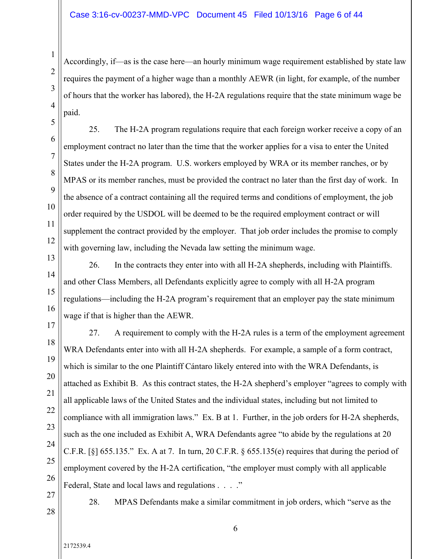#### Case 3:16-cv-00237-MMD-VPC Document 45 Filed 10/13/16 Page 6 of 44

Accordingly, if—as is the case here—an hourly minimum wage requirement established by state law requires the payment of a higher wage than a monthly AEWR (in light, for example, of the number of hours that the worker has labored), the H-2A regulations require that the state minimum wage be paid.

25. The H-2A program regulations require that each foreign worker receive a copy of an employment contract no later than the time that the worker applies for a visa to enter the United States under the H-2A program. U.S. workers employed by WRA or its member ranches, or by MPAS or its member ranches, must be provided the contract no later than the first day of work. In the absence of a contract containing all the required terms and conditions of employment, the job order required by the USDOL will be deemed to be the required employment contract or will supplement the contract provided by the employer. That job order includes the promise to comply with governing law, including the Nevada law setting the minimum wage.

13 14 15 16 26. In the contracts they enter into with all H-2A shepherds, including with Plaintiffs. and other Class Members, all Defendants explicitly agree to comply with all H-2A program regulations—including the H-2A program's requirement that an employer pay the state minimum wage if that is higher than the AEWR.

17 18 19 20 21 22 23 24 25 26 27. A requirement to comply with the H-2A rules is a term of the employment agreement WRA Defendants enter into with all H-2A shepherds. For example, a sample of a form contract, which is similar to the one Plaintiff Cántaro likely entered into with the WRA Defendants, is attached as Exhibit B. As this contract states, the H-2A shepherd's employer "agrees to comply with all applicable laws of the United States and the individual states, including but not limited to compliance with all immigration laws." Ex. B at 1. Further, in the job orders for H-2A shepherds, such as the one included as Exhibit A, WRA Defendants agree "to abide by the regulations at 20 C.F.R.  $[\S]$  655.135." Ex. A at 7. In turn, 20 C.F.R.  $\S$  655.135(e) requires that during the period of employment covered by the H-2A certification, "the employer must comply with all applicable Federal, State and local laws and regulations . . . ."

27 28

2172539.4

1

2

3

4

5

6

7

8

9

10

11

12

28. MPAS Defendants make a similar commitment in job orders, which "serve as the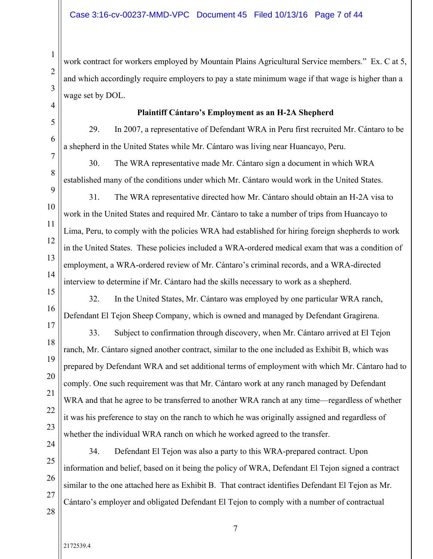work contract for workers employed by Mountain Plains Agricultural Service members." Ex. C at 5, and which accordingly require employers to pay a state minimum wage if that wage is higher than a wage set by DOL.

#### **Plaintiff Cántaro's Employment as an H-2A Shepherd**

29. In 2007, a representative of Defendant WRA in Peru first recruited Mr. Cántaro to be a shepherd in the United States while Mr. Cántaro was living near Huancayo, Peru.

30. The WRA representative made Mr. Cántaro sign a document in which WRA established many of the conditions under which Mr. Cántaro would work in the United States.

31. The WRA representative directed how Mr. Cántaro should obtain an H-2A visa to work in the United States and required Mr. Cántaro to take a number of trips from Huancayo to Lima, Peru, to comply with the policies WRA had established for hiring foreign shepherds to work in the United States. These policies included a WRA-ordered medical exam that was a condition of employment, a WRA-ordered review of Mr. Cántaro's criminal records, and a WRA-directed interview to determine if Mr. Cántaro had the skills necessary to work as a shepherd.

32. In the United States, Mr. Cántaro was employed by one particular WRA ranch, Defendant El Tejon Sheep Company, which is owned and managed by Defendant Gragirena.

33. Subject to confirmation through discovery, when Mr. Cántaro arrived at El Tejon ranch, Mr. Cántaro signed another contract, similar to the one included as Exhibit B, which was prepared by Defendant WRA and set additional terms of employment with which Mr. Cántaro had to comply. One such requirement was that Mr. Cántaro work at any ranch managed by Defendant WRA and that he agree to be transferred to another WRA ranch at any time—regardless of whether it was his preference to stay on the ranch to which he was originally assigned and regardless of whether the individual WRA ranch on which he worked agreed to the transfer.

24 25 26

1

2

3

4

5

6

7

8

9

10

11

12

13

14

15

16

17

18

19

20

21

22

23

34. Defendant El Tejon was also a party to this WRA-prepared contract. Upon information and belief, based on it being the policy of WRA, Defendant El Tejon signed a contract similar to the one attached here as Exhibit B. That contract identifies Defendant El Tejon as Mr. Cántaro's employer and obligated Defendant El Tejon to comply with a number of contractual

28

27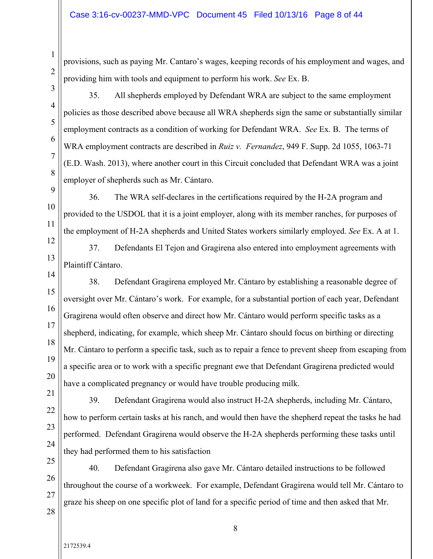provisions, such as paying Mr. Cantaro's wages, keeping records of his employment and wages, and providing him with tools and equipment to perform his work. *See* Ex. B.

3

4

1

2

35. All shepherds employed by Defendant WRA are subject to the same employment policies as those described above because all WRA shepherds sign the same or substantially similar employment contracts as a condition of working for Defendant WRA. *See* Ex. B. The terms of WRA employment contracts are described in *Ruiz v. Fernandez*, 949 F. Supp. 2d 1055, 1063-71 (E.D. Wash. 2013), where another court in this Circuit concluded that Defendant WRA was a joint employer of shepherds such as Mr. Cántaro.

36. The WRA self-declares in the certifications required by the H-2A program and provided to the USDOL that it is a joint employer, along with its member ranches, for purposes of the employment of H-2A shepherds and United States workers similarly employed. *See* Ex. A at 1.

37. Defendants El Tejon and Gragirena also entered into employment agreements with Plaintiff Cántaro.

15 16 17 18 19 20 38. Defendant Gragirena employed Mr. Cántaro by establishing a reasonable degree of oversight over Mr. Cántaro's work. For example, for a substantial portion of each year, Defendant Gragirena would often observe and direct how Mr. Cántaro would perform specific tasks as a shepherd, indicating, for example, which sheep Mr. Cántaro should focus on birthing or directing Mr. Cántaro to perform a specific task, such as to repair a fence to prevent sheep from escaping from a specific area or to work with a specific pregnant ewe that Defendant Gragirena predicted would have a complicated pregnancy or would have trouble producing milk.

39. Defendant Gragirena would also instruct H-2A shepherds, including Mr. Cántaro, how to perform certain tasks at his ranch, and would then have the shepherd repeat the tasks he had performed. Defendant Gragirena would observe the H-2A shepherds performing these tasks until they had performed them to his satisfaction

26 27 28 40. Defendant Gragirena also gave Mr. Cántaro detailed instructions to be followed throughout the course of a workweek. For example, Defendant Gragirena would tell Mr. Cántaro to graze his sheep on one specific plot of land for a specific period of time and then asked that Mr.

21

22

23

24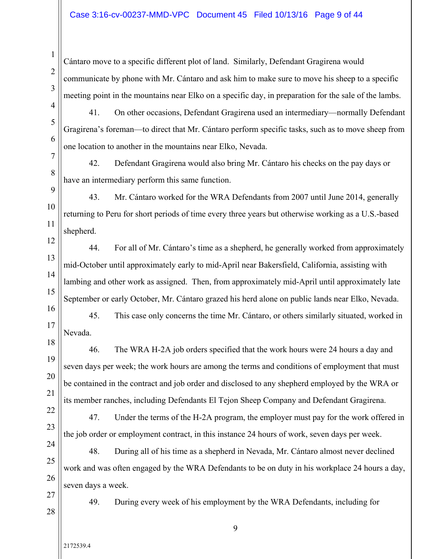#### Case 3:16-cv-00237-MMD-VPC Document 45 Filed 10/13/16 Page 9 of 44

Cántaro move to a specific different plot of land. Similarly, Defendant Gragirena would communicate by phone with Mr. Cántaro and ask him to make sure to move his sheep to a specific meeting point in the mountains near Elko on a specific day, in preparation for the sale of the lambs.

5 6

7

8

1

2

3

4

41. On other occasions, Defendant Gragirena used an intermediary—normally Defendant Gragirena's foreman—to direct that Mr. Cántaro perform specific tasks, such as to move sheep from one location to another in the mountains near Elko, Nevada.

42. Defendant Gragirena would also bring Mr. Cántaro his checks on the pay days or have an intermediary perform this same function.

9

10 11 43. Mr. Cántaro worked for the WRA Defendants from 2007 until June 2014, generally returning to Peru for short periods of time every three years but otherwise working as a U.S.-based shepherd.

12 13 14 15 16 44. For all of Mr. Cántaro's time as a shepherd, he generally worked from approximately mid-October until approximately early to mid-April near Bakersfield, California, assisting with lambing and other work as assigned. Then, from approximately mid-April until approximately late September or early October, Mr. Cántaro grazed his herd alone on public lands near Elko, Nevada.

45. This case only concerns the time Mr. Cántaro, or others similarly situated, worked in Nevada.

18 19 20 22 46. The WRA H-2A job orders specified that the work hours were 24 hours a day and seven days per week; the work hours are among the terms and conditions of employment that must be contained in the contract and job order and disclosed to any shepherd employed by the WRA or its member ranches, including Defendants El Tejon Sheep Company and Defendant Gragirena.

23

21

17

47. Under the terms of the H-2A program, the employer must pay for the work offered in the job order or employment contract, in this instance 24 hours of work, seven days per week.

24 25 26 48. During all of his time as a shepherd in Nevada, Mr. Cántaro almost never declined work and was often engaged by the WRA Defendants to be on duty in his workplace 24 hours a day, seven days a week.

27

49. During every week of his employment by the WRA Defendants, including for

9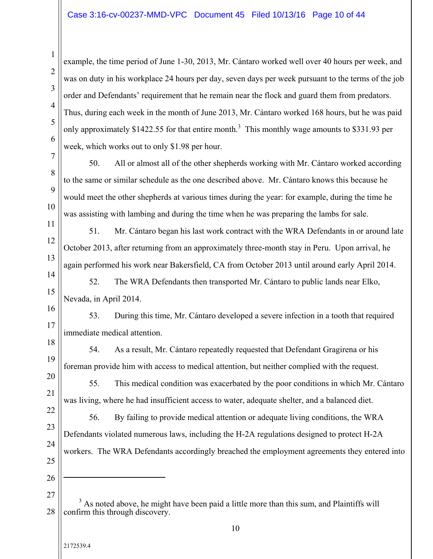example, the time period of June 1-30, 2013, Mr. Cántaro worked well over 40 hours per week, and was on duty in his workplace 24 hours per day, seven days per week pursuant to the terms of the job order and Defendants' requirement that he remain near the flock and guard them from predators. Thus, during each week in the month of June 2013, Mr. Cántaro worked 168 hours, but he was paid only approximately \$1422.55 for that entire month.<sup>3</sup> This monthly wage amounts to \$331.93 per week, which works out to only \$1.98 per hour.

8 50. All or almost all of the other shepherds working with Mr. Cántaro worked according to the same or similar schedule as the one described above. Mr. Cántaro knows this because he would meet the other shepherds at various times during the year: for example, during the time he was assisting with lambing and during the time when he was preparing the lambs for sale.

51. Mr. Cántaro began his last work contract with the WRA Defendants in or around late October 2013, after returning from an approximately three-month stay in Peru. Upon arrival, he again performed his work near Bakersfield, CA from October 2013 until around early April 2014.

14 15 16 52. The WRA Defendants then transported Mr. Cántaro to public lands near Elko, Nevada, in April 2014.

17 53. During this time, Mr. Cántaro developed a severe infection in a tooth that required immediate medical attention.

54. As a result, Mr. Cántaro repeatedly requested that Defendant Gragirena or his foreman provide him with access to medical attention, but neither complied with the request.

55. This medical condition was exacerbated by the poor conditions in which Mr. Cántaro was living, where he had insufficient access to water, adequate shelter, and a balanced diet.

22 23 24 25 56. By failing to provide medical attention or adequate living conditions, the WRA Defendants violated numerous laws, including the H-2A regulations designed to protect H-2A workers. The WRA Defendants accordingly breached the employment agreements they entered into

26

 $\overline{a}$ 

1

2

3

4

5

6

7

9

10

11

12

13

18

19

20

21

<sup>28</sup>  $3$  As noted above, he might have been paid a little more than this sum, and Plaintiffs will confirm this through discovery.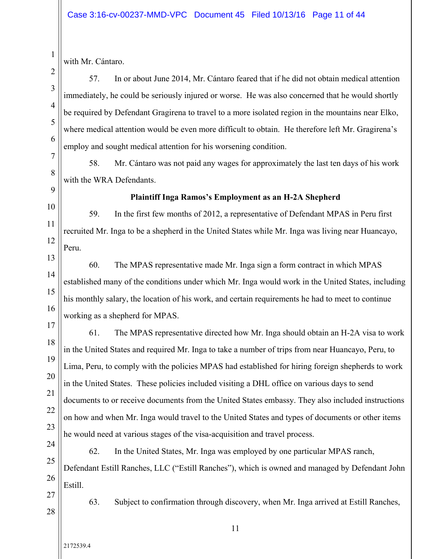with Mr. Cántaro.

57. In or about June 2014, Mr. Cántaro feared that if he did not obtain medical attention immediately, he could be seriously injured or worse. He was also concerned that he would shortly be required by Defendant Gragirena to travel to a more isolated region in the mountains near Elko, where medical attention would be even more difficult to obtain. He therefore left Mr. Gragirena's employ and sought medical attention for his worsening condition.

8 9 58. Mr. Cántaro was not paid any wages for approximately the last ten days of his work with the WRA Defendants.

1

2

3

4

5

6

7

10

11

# **Plaintiff Inga Ramos's Employment as an H-2A Shepherd**

59. In the first few months of 2012, a representative of Defendant MPAS in Peru first recruited Mr. Inga to be a shepherd in the United States while Mr. Inga was living near Huancayo, Peru.

13

14

15

16

12

60. The MPAS representative made Mr. Inga sign a form contract in which MPAS established many of the conditions under which Mr. Inga would work in the United States, including his monthly salary, the location of his work, and certain requirements he had to meet to continue working as a shepherd for MPAS.

17

18 19 20 21 22 23 61. The MPAS representative directed how Mr. Inga should obtain an H-2A visa to work in the United States and required Mr. Inga to take a number of trips from near Huancayo, Peru, to Lima, Peru, to comply with the policies MPAS had established for hiring foreign shepherds to work in the United States. These policies included visiting a DHL office on various days to send documents to or receive documents from the United States embassy. They also included instructions on how and when Mr. Inga would travel to the United States and types of documents or other items he would need at various stages of the visa-acquisition and travel process.

62. In the United States, Mr. Inga was employed by one particular MPAS ranch,

25 26 Defendant Estill Ranches, LLC ("Estill Ranches"), which is owned and managed by Defendant John Estill.

27 28

24

63. Subject to confirmation through discovery, when Mr. Inga arrived at Estill Ranches,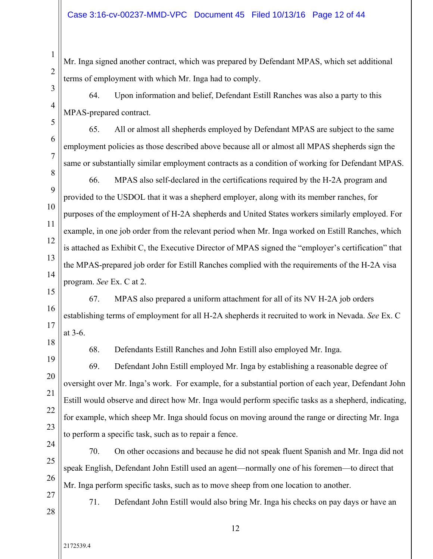Mr. Inga signed another contract, which was prepared by Defendant MPAS, which set additional terms of employment with which Mr. Inga had to comply.

64. Upon information and belief, Defendant Estill Ranches was also a party to this MPAS-prepared contract.

65. All or almost all shepherds employed by Defendant MPAS are subject to the same employment policies as those described above because all or almost all MPAS shepherds sign the same or substantially similar employment contracts as a condition of working for Defendant MPAS.

66. MPAS also self-declared in the certifications required by the H-2A program and provided to the USDOL that it was a shepherd employer, along with its member ranches, for purposes of the employment of H-2A shepherds and United States workers similarly employed. For example, in one job order from the relevant period when Mr. Inga worked on Estill Ranches, which is attached as Exhibit C, the Executive Director of MPAS signed the "employer's certification" that the MPAS-prepared job order for Estill Ranches complied with the requirements of the H-2A visa program. *See* Ex. C at 2.

15 16 17 67. MPAS also prepared a uniform attachment for all of its NV H-2A job orders establishing terms of employment for all H-2A shepherds it recruited to work in Nevada. *See* Ex. C at 3-6.

18 19

20

21

22

23

1

2

3

4

5

6

7

8

9

10

11

12

13

14

68. Defendants Estill Ranches and John Estill also employed Mr. Inga.

69. Defendant John Estill employed Mr. Inga by establishing a reasonable degree of oversight over Mr. Inga's work. For example, for a substantial portion of each year, Defendant John Estill would observe and direct how Mr. Inga would perform specific tasks as a shepherd, indicating, for example, which sheep Mr. Inga should focus on moving around the range or directing Mr. Inga to perform a specific task, such as to repair a fence.

24 25

26

70. On other occasions and because he did not speak fluent Spanish and Mr. Inga did not speak English, Defendant John Estill used an agent—normally one of his foremen—to direct that Mr. Inga perform specific tasks, such as to move sheep from one location to another.

12

27 28

2172539.4

71. Defendant John Estill would also bring Mr. Inga his checks on pay days or have an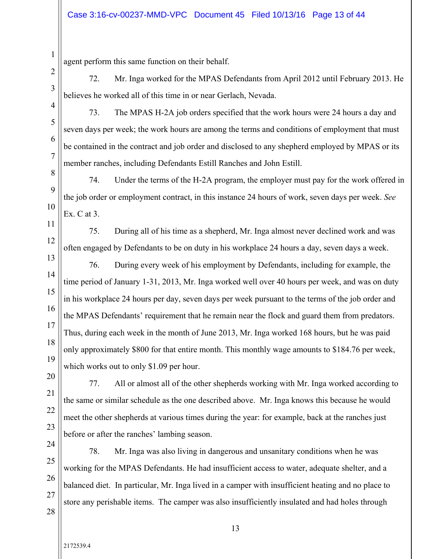agent perform this same function on their behalf.

72. Mr. Inga worked for the MPAS Defendants from April 2012 until February 2013. He believes he worked all of this time in or near Gerlach, Nevada.

4 5

6

7

11

12

1

2

3

73. The MPAS H-2A job orders specified that the work hours were 24 hours a day and seven days per week; the work hours are among the terms and conditions of employment that must be contained in the contract and job order and disclosed to any shepherd employed by MPAS or its member ranches, including Defendants Estill Ranches and John Estill.

8 9 10 74. Under the terms of the H-2A program, the employer must pay for the work offered in the job order or employment contract, in this instance 24 hours of work, seven days per week. *See* Ex. C at 3.

75. During all of his time as a shepherd, Mr. Inga almost never declined work and was often engaged by Defendants to be on duty in his workplace 24 hours a day, seven days a week.

13 14 15 16 17 18 19 76. During every week of his employment by Defendants, including for example, the time period of January 1-31, 2013, Mr. Inga worked well over 40 hours per week, and was on duty in his workplace 24 hours per day, seven days per week pursuant to the terms of the job order and the MPAS Defendants' requirement that he remain near the flock and guard them from predators. Thus, during each week in the month of June 2013, Mr. Inga worked 168 hours, but he was paid only approximately \$800 for that entire month. This monthly wage amounts to \$184.76 per week, which works out to only \$1.09 per hour.

20

21

22

23

77. All or almost all of the other shepherds working with Mr. Inga worked according to the same or similar schedule as the one described above. Mr. Inga knows this because he would meet the other shepherds at various times during the year: for example, back at the ranches just before or after the ranches' lambing season.

24 25

26

27

78. Mr. Inga was also living in dangerous and unsanitary conditions when he was working for the MPAS Defendants. He had insufficient access to water, adequate shelter, and a balanced diet. In particular, Mr. Inga lived in a camper with insufficient heating and no place to store any perishable items. The camper was also insufficiently insulated and had holes through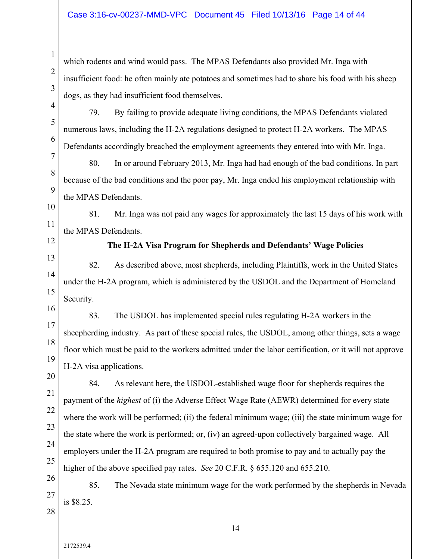which rodents and wind would pass. The MPAS Defendants also provided Mr. Inga with insufficient food: he often mainly ate potatoes and sometimes had to share his food with his sheep dogs, as they had insufficient food themselves.

79. By failing to provide adequate living conditions, the MPAS Defendants violated numerous laws, including the H-2A regulations designed to protect H-2A workers. The MPAS Defendants accordingly breached the employment agreements they entered into with Mr. Inga.

80. In or around February 2013, Mr. Inga had had enough of the bad conditions. In part because of the bad conditions and the poor pay, Mr. Inga ended his employment relationship with the MPAS Defendants.

10 81. Mr. Inga was not paid any wages for approximately the last 15 days of his work with the MPAS Defendants.

12

11

1

2

3

4

5

6

7

8

9

#### **The H-2A Visa Program for Shepherds and Defendants' Wage Policies**

13 14 15 82. As described above, most shepherds, including Plaintiffs, work in the United States under the H-2A program, which is administered by the USDOL and the Department of Homeland Security.

16 17 18 19 83. The USDOL has implemented special rules regulating H-2A workers in the sheepherding industry. As part of these special rules, the USDOL, among other things, sets a wage floor which must be paid to the workers admitted under the labor certification, or it will not approve H-2A visa applications.

20 21 22 23 24 25 84. As relevant here, the USDOL-established wage floor for shepherds requires the payment of the *highest* of (i) the Adverse Effect Wage Rate (AEWR) determined for every state where the work will be performed; (ii) the federal minimum wage; (iii) the state minimum wage for the state where the work is performed; or, (iv) an agreed-upon collectively bargained wage. All employers under the H-2A program are required to both promise to pay and to actually pay the higher of the above specified pay rates. *See* 20 C.F.R. § 655.120 and 655.210.

26 27 28 85. The Nevada state minimum wage for the work performed by the shepherds in Nevada is \$8.25.

2172539.4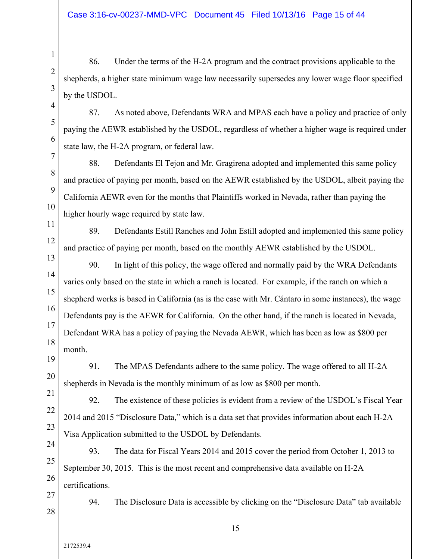86. Under the terms of the H-2A program and the contract provisions applicable to the shepherds, a higher state minimum wage law necessarily supersedes any lower wage floor specified by the USDOL.

87. As noted above, Defendants WRA and MPAS each have a policy and practice of only paying the AEWR established by the USDOL, regardless of whether a higher wage is required under state law, the H-2A program, or federal law.

88. Defendants El Tejon and Mr. Gragirena adopted and implemented this same policy and practice of paying per month, based on the AEWR established by the USDOL, albeit paying the California AEWR even for the months that Plaintiffs worked in Nevada, rather than paying the higher hourly wage required by state law.

89. Defendants Estill Ranches and John Estill adopted and implemented this same policy and practice of paying per month, based on the monthly AEWR established by the USDOL.

14 15 16 17 18 90. In light of this policy, the wage offered and normally paid by the WRA Defendants varies only based on the state in which a ranch is located. For example, if the ranch on which a shepherd works is based in California (as is the case with Mr. Cántaro in some instances), the wage Defendants pay is the AEWR for California. On the other hand, if the ranch is located in Nevada, Defendant WRA has a policy of paying the Nevada AEWR, which has been as low as \$800 per month.

19 20 91. The MPAS Defendants adhere to the same policy. The wage offered to all H-2A shepherds in Nevada is the monthly minimum of as low as \$800 per month.

92. The existence of these policies is evident from a review of the USDOL's Fiscal Year 2014 and 2015 "Disclosure Data," which is a data set that provides information about each H-2A Visa Application submitted to the USDOL by Defendants.

24 25 26 93. The data for Fiscal Years 2014 and 2015 cover the period from October 1, 2013 to September 30, 2015. This is the most recent and comprehensive data available on H-2A certifications.

27 28

21

22

23

1

2

3

4

5

6

7

8

9

10

11

12

13

94. The Disclosure Data is accessible by clicking on the "Disclosure Data" tab available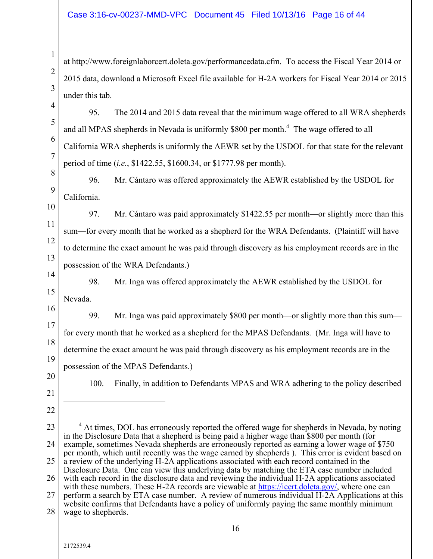#### Case 3:16-cv-00237-MMD-VPC Document 45 Filed 10/13/16 Page 16 of 44

at http://www.foreignlaborcert.doleta.gov/performancedata.cfm. To access the Fiscal Year 2014 or 2015 data, download a Microsoft Excel file available for H-2A workers for Fiscal Year 2014 or 2015 under this tab.

95. The 2014 and 2015 data reveal that the minimum wage offered to all WRA shepherds and all MPAS shepherds in Nevada is uniformly \$800 per month.<sup>4</sup> The wage offered to all California WRA shepherds is uniformly the AEWR set by the USDOL for that state for the relevant period of time (*i.e.*, \$1422.55, \$1600.34, or \$1777.98 per month).

8 9 96. Mr. Cántaro was offered approximately the AEWR established by the USDOL for California.

10 11 12 13 97. Mr. Cántaro was paid approximately \$1422.55 per month—or slightly more than this sum—for every month that he worked as a shepherd for the WRA Defendants. (Plaintiff will have to determine the exact amount he was paid through discovery as his employment records are in the possession of the WRA Defendants.)

14 15 98. Mr. Inga was offered approximately the AEWR established by the USDOL for Nevada.

16 17 18 19 99. Mr. Inga was paid approximately \$800 per month—or slightly more than this sum for every month that he worked as a shepherd for the MPAS Defendants. (Mr. Inga will have to determine the exact amount he was paid through discovery as his employment records are in the possession of the MPAS Defendants.)

20 21

1

2

3

4

5

6

7

100. Finally, in addition to Defendants MPAS and WRA adhering to the policy described

22

 $\overline{a}$ 

23 24 25 26 27 28  $4$  At times, DOL has erroneously reported the offered wage for shepherds in Nevada, by noting in the Disclosure Data that a shepherd is being paid a higher wage than \$800 per month (for example, sometimes Nevada shepherds are erroneously reported as earning a lower wage of \$750 per month, which until recently was the wage earned by shepherds ). This error is evident based on a review of the underlying H-2A applications associated with each record contained in the Disclosure Data. One can view this underlying data by matching the ETA case number included with each record in the disclosure data and reviewing the individual H-2A applications associated with these numbers. These H-2A records are viewable at https://icert.doleta.gov/, where one can perform a search by ETA case number. A review of numerous individual H-2A Applications at this website confirms that Defendants have a policy of uniformly paying the same monthly minimum wage to shepherds.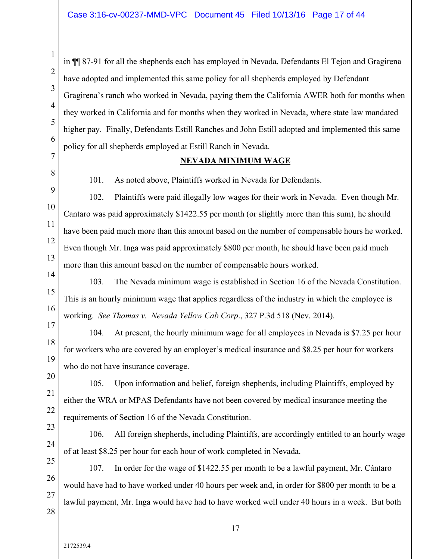in ¶¶ 87-91 for all the shepherds each has employed in Nevada, Defendants El Tejon and Gragirena have adopted and implemented this same policy for all shepherds employed by Defendant Gragirena's ranch who worked in Nevada, paying them the California AWER both for months when they worked in California and for months when they worked in Nevada, where state law mandated higher pay. Finally, Defendants Estill Ranches and John Estill adopted and implemented this same policy for all shepherds employed at Estill Ranch in Nevada.

# **NEVADA MINIMUM WAGE**

1

2

3

4

5

6

7

8

9

10

11

12

13

17

18

19

20

21

22

101. As noted above, Plaintiffs worked in Nevada for Defendants.

102. Plaintiffs were paid illegally low wages for their work in Nevada. Even though Mr. Cantaro was paid approximately \$1422.55 per month (or slightly more than this sum), he should have been paid much more than this amount based on the number of compensable hours he worked. Even though Mr. Inga was paid approximately \$800 per month, he should have been paid much more than this amount based on the number of compensable hours worked.

14 15 16 103. The Nevada minimum wage is established in Section 16 of the Nevada Constitution. This is an hourly minimum wage that applies regardless of the industry in which the employee is working. *See Thomas v. Nevada Yellow Cab Corp*., 327 P.3d 518 (Nev. 2014).

104. At present, the hourly minimum wage for all employees in Nevada is \$7.25 per hour for workers who are covered by an employer's medical insurance and \$8.25 per hour for workers who do not have insurance coverage.

105. Upon information and belief, foreign shepherds, including Plaintiffs, employed by either the WRA or MPAS Defendants have not been covered by medical insurance meeting the requirements of Section 16 of the Nevada Constitution.

23 24 106. All foreign shepherds, including Plaintiffs, are accordingly entitled to an hourly wage of at least \$8.25 per hour for each hour of work completed in Nevada.

25 26 27 107. In order for the wage of \$1422.55 per month to be a lawful payment, Mr. Cántaro would have had to have worked under 40 hours per week and, in order for \$800 per month to be a lawful payment, Mr. Inga would have had to have worked well under 40 hours in a week. But both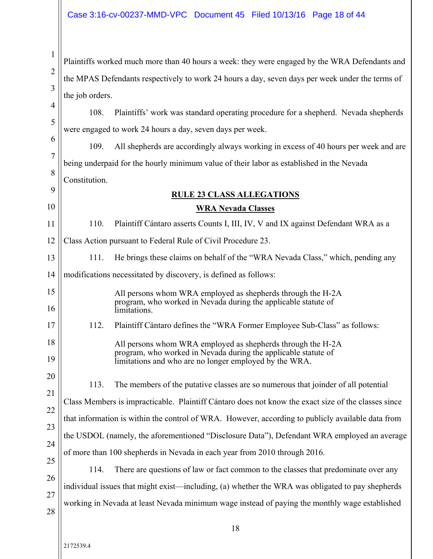#### Case 3:16-cv-00237-MMD-VPC Document 45 Filed 10/13/16 Page 18 of 44

Plaintiffs worked much more than 40 hours a week: they were engaged by the WRA Defendants and the MPAS Defendants respectively to work 24 hours a day, seven days per week under the terms of the job orders.

5 108. Plaintiffs' work was standard operating procedure for a shepherd. Nevada shepherds were engaged to work 24 hours a day, seven days per week.

6 7 8 9 109. All shepherds are accordingly always working in excess of 40 hours per week and are being underpaid for the hourly minimum value of their labor as established in the Nevada Constitution.

# **RULE 23 CLASS ALLEGATIONS**

#### **WRA Nevada Classes**

11 12 110. Plaintiff Cántaro asserts Counts I, III, IV, V and IX against Defendant WRA as a Class Action pursuant to Federal Rule of Civil Procedure 23.

13 111. He brings these claims on behalf of the "WRA Nevada Class," which, pending any

14 modifications necessitated by discovery, is defined as follows:

> All persons whom WRA employed as shepherds through the H-2A program, who worked in Nevada during the applicable statute of limitations.

112. Plaintiff Cántaro defines the "WRA Former Employee Sub-Class" as follows:

All persons whom WRA employed as shepherds through the H-2A program, who worked in Nevada during the applicable statute of limitations and who are no longer employed by the WRA.

113. The members of the putative classes are so numerous that joinder of all potential

Class Members is impracticable. Plaintiff Cántaro does not know the exact size of the classes since

that information is within the control of WRA. However, according to publicly available data from

24 the USDOL (namely, the aforementioned "Disclosure Data"), Defendant WRA employed an average

of more than 100 shepherds in Nevada in each year from 2010 through 2016.

25 26 27 114. There are questions of law or fact common to the classes that predominate over any individual issues that might exist—including, (a) whether the WRA was obligated to pay shepherds working in Nevada at least Nevada minimum wage instead of paying the monthly wage established

28

1

2

3

4

10

15

16

17

18

19

20

21

22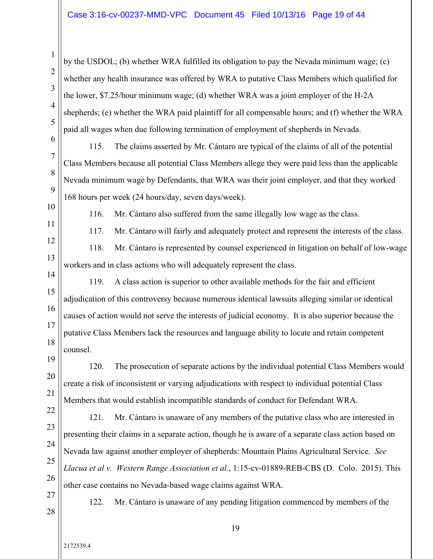by the USDOL; (b) whether WRA fulfilled its obligation to pay the Nevada minimum wage; (c) whether any health insurance was offered by WRA to putative Class Members which qualified for the lower, \$7.25/hour minimum wage; (d) whether WRA was a joint employer of the H-2A shepherds; (e) whether the WRA paid plaintiff for all compensable hours; and (f) whether the WRA paid all wages when due following termination of employment of shepherds in Nevada.

8 9 115. The claims asserted by Mr. Cántaro are typical of the claims of all of the potential Class Members because all potential Class Members allege they were paid less than the applicable Nevada minimum wage by Defendants, that WRA was their joint employer, and that they worked 168 hours per week (24 hours/day, seven days/week).

10 11

1

2

3

4

5

6

7

116. Mr. Cántaro also suffered from the same illegally low wage as the class.

12

117. Mr. Cántaro will fairly and adequately protect and represent the interests of the class.

13 118. Mr. Cántaro is represented by counsel experienced in litigation on behalf of low-wage workers and in class actions who will adequately represent the class.

14 15 16 17 18 119. A class action is superior to other available methods for the fair and efficient adjudication of this controversy because numerous identical lawsuits alleging similar or identical causes of action would not serve the interests of judicial economy. It is also superior because the putative Class Members lack the resources and language ability to locate and retain competent counsel.

19 20 21 22 120. The prosecution of separate actions by the individual potential Class Members would create a risk of inconsistent or varying adjudications with respect to individual potential Class Members that would establish incompatible standards of conduct for Defendant WRA.

23

24 25

121. Mr. Cántaro is unaware of any members of the putative class who are interested in presenting their claims in a separate action, though he is aware of a separate class action based on Nevada law against another employer of shepherds: Mountain Plains Agricultural Service. *See Llacua et al v. Western Range Association et al.*, 1:15-cv-01889-REB-CBS (D. Colo. 2015). This other case contains no Nevada-based wage claims against WRA.

27 28

26

122. Mr. Cántaro is unaware of any pending litigation commenced by members of the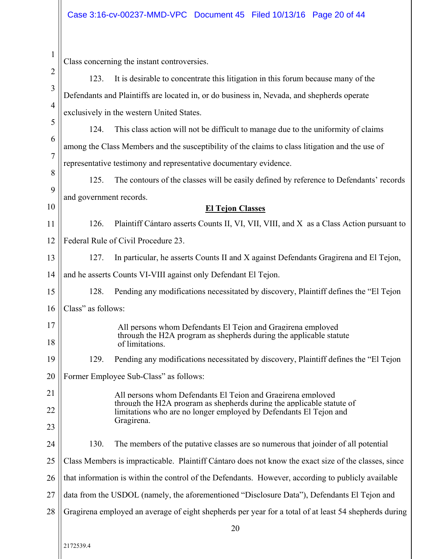| 1              |                                                                                                       |                                                                                                                                                      |  |  |
|----------------|-------------------------------------------------------------------------------------------------------|------------------------------------------------------------------------------------------------------------------------------------------------------|--|--|
| $\overline{c}$ | Class concerning the instant controversies.                                                           |                                                                                                                                                      |  |  |
| 123.<br>3      |                                                                                                       | It is desirable to concentrate this litigation in this forum because many of the                                                                     |  |  |
| $\overline{4}$ |                                                                                                       | Defendants and Plaintiffs are located in, or do business in, Nevada, and shepherds operate                                                           |  |  |
|                | exclusively in the western United States.                                                             |                                                                                                                                                      |  |  |
| 5              | 124.                                                                                                  | This class action will not be difficult to manage due to the uniformity of claims                                                                    |  |  |
| 6              | among the Class Members and the susceptibility of the claims to class litigation and the use of       |                                                                                                                                                      |  |  |
| $\overline{7}$ | representative testimony and representative documentary evidence.                                     |                                                                                                                                                      |  |  |
| 8              | 125.                                                                                                  | The contours of the classes will be easily defined by reference to Defendants' records                                                               |  |  |
| 9              | and government records.                                                                               |                                                                                                                                                      |  |  |
| 10             |                                                                                                       | <b>El Tejon Classes</b>                                                                                                                              |  |  |
| 11             | 126.                                                                                                  | Plaintiff Cántaro asserts Counts II, VI, VII, VIII, and X as a Class Action pursuant to                                                              |  |  |
| 12             | Federal Rule of Civil Procedure 23.                                                                   |                                                                                                                                                      |  |  |
| 13             | 127.                                                                                                  | In particular, he asserts Counts II and X against Defendants Gragirena and El Tejon,                                                                 |  |  |
| 14             | and he asserts Counts VI-VIII against only Defendant El Tejon.                                        |                                                                                                                                                      |  |  |
| 15             | 128.                                                                                                  | Pending any modifications necessitated by discovery, Plaintiff defines the "El Tejon"                                                                |  |  |
| 16             | Class" as follows:                                                                                    |                                                                                                                                                      |  |  |
| 17<br>18       |                                                                                                       | All persons whom Defendants El Tejon and Gragirena employed<br>through the H2A program as shepherds during the applicable statute<br>of limitations. |  |  |
| 19             | 129.                                                                                                  | Pending any modifications necessitated by discovery, Plaintiff defines the "El Tejon                                                                 |  |  |
| 20             |                                                                                                       | Former Employee Sub-Class" as follows:                                                                                                               |  |  |
| 21             |                                                                                                       | All persons whom Defendants El Tejon and Gragirena employed                                                                                          |  |  |
| 22             |                                                                                                       | through the H2A program as shepherds during the applicable statute of                                                                                |  |  |
| 23             |                                                                                                       | limitations who are no longer employed by Defendants El Tejon and<br>Gragirena.                                                                      |  |  |
| 24             | 130.                                                                                                  | The members of the putative classes are so numerous that joinder of all potential                                                                    |  |  |
| 25             |                                                                                                       | Class Members is impracticable. Plaintiff Cántaro does not know the exact size of the classes, since                                                 |  |  |
| 26             | that information is within the control of the Defendants. However, according to publicly available    |                                                                                                                                                      |  |  |
| 27             | data from the USDOL (namely, the aforementioned "Disclosure Data"), Defendants El Tejon and           |                                                                                                                                                      |  |  |
| 28             | Gragirena employed an average of eight shepherds per year for a total of at least 54 shepherds during |                                                                                                                                                      |  |  |
|                |                                                                                                       | 20                                                                                                                                                   |  |  |
|                |                                                                                                       |                                                                                                                                                      |  |  |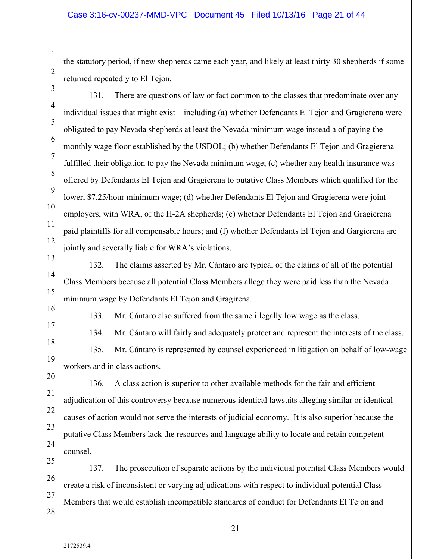the statutory period, if new shepherds came each year, and likely at least thirty 30 shepherds if some returned repeatedly to El Tejon.

131. There are questions of law or fact common to the classes that predominate over any

1

2

7 8 9 10 11 12 individual issues that might exist—including (a) whether Defendants El Tejon and Gragierena were obligated to pay Nevada shepherds at least the Nevada minimum wage instead a of paying the monthly wage floor established by the USDOL; (b) whether Defendants El Tejon and Gragierena fulfilled their obligation to pay the Nevada minimum wage; (c) whether any health insurance was offered by Defendants El Tejon and Gragierena to putative Class Members which qualified for the lower, \$7.25/hour minimum wage; (d) whether Defendants El Tejon and Gragierena were joint employers, with WRA, of the H-2A shepherds; (e) whether Defendants El Tejon and Gragierena paid plaintiffs for all compensable hours; and (f) whether Defendants El Tejon and Gargierena are jointly and severally liable for WRA's violations.

13 14

132. The claims asserted by Mr. Cántaro are typical of the claims of all of the potential Class Members because all potential Class Members allege they were paid less than the Nevada minimum wage by Defendants El Tejon and Gragirena.

16 17

18

15

133. Mr. Cántaro also suffered from the same illegally low wage as the class.

134. Mr. Cántaro will fairly and adequately protect and represent the interests of the class. 135. Mr. Cántaro is represented by counsel experienced in litigation on behalf of low-wage workers and in class actions.

19 20

21

22

23

24

136. A class action is superior to other available methods for the fair and efficient adjudication of this controversy because numerous identical lawsuits alleging similar or identical causes of action would not serve the interests of judicial economy. It is also superior because the putative Class Members lack the resources and language ability to locate and retain competent counsel.

25

26 27 137. The prosecution of separate actions by the individual potential Class Members would create a risk of inconsistent or varying adjudications with respect to individual potential Class Members that would establish incompatible standards of conduct for Defendants El Tejon and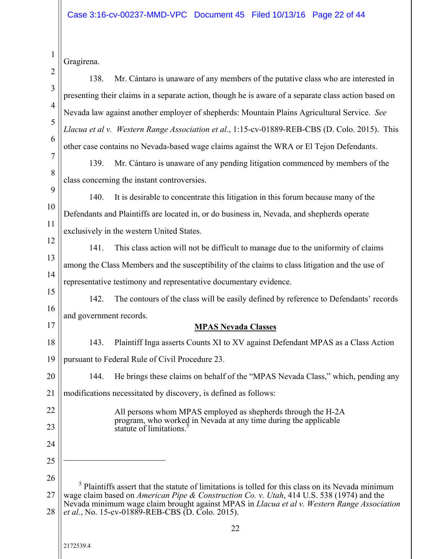|                | Gragirena.                                                                                                                                                                                                |  |  |  |
|----------------|-----------------------------------------------------------------------------------------------------------------------------------------------------------------------------------------------------------|--|--|--|
| $\overline{c}$ | Mr. Cántaro is unaware of any members of the putative class who are interested in<br>138.                                                                                                                 |  |  |  |
| 3              | presenting their claims in a separate action, though he is aware of a separate class action based on                                                                                                      |  |  |  |
| 4              | Nevada law against another employer of shepherds: Mountain Plains Agricultural Service. See                                                                                                               |  |  |  |
| 5              | Llacua et al v. Western Range Association et al., 1:15-cv-01889-REB-CBS (D. Colo. 2015). This                                                                                                             |  |  |  |
| 6              | other case contains no Nevada-based wage claims against the WRA or El Tejon Defendants.                                                                                                                   |  |  |  |
| $\overline{7}$ | 139.<br>Mr. Cántaro is unaware of any pending litigation commenced by members of the                                                                                                                      |  |  |  |
| 8              | class concerning the instant controversies.                                                                                                                                                               |  |  |  |
| 9              | 140.<br>It is desirable to concentrate this litigation in this forum because many of the                                                                                                                  |  |  |  |
| 10             | Defendants and Plaintiffs are located in, or do business in, Nevada, and shepherds operate                                                                                                                |  |  |  |
| 11             | exclusively in the western United States.                                                                                                                                                                 |  |  |  |
| 12             | 141.<br>This class action will not be difficult to manage due to the uniformity of claims                                                                                                                 |  |  |  |
| 13             | among the Class Members and the susceptibility of the claims to class litigation and the use of                                                                                                           |  |  |  |
| 14             | representative testimony and representative documentary evidence.                                                                                                                                         |  |  |  |
| 15             | 142.<br>The contours of the class will be easily defined by reference to Defendants' records                                                                                                              |  |  |  |
| 16             | and government records.                                                                                                                                                                                   |  |  |  |
|                |                                                                                                                                                                                                           |  |  |  |
| 17             | <b>MPAS Nevada Classes</b>                                                                                                                                                                                |  |  |  |
| 18             | 143.<br>Plaintiff Inga asserts Counts XI to XV against Defendant MPAS as a Class Action                                                                                                                   |  |  |  |
| 19             | pursuant to Federal Rule of Civil Procedure 23.                                                                                                                                                           |  |  |  |
| $20\,$         | He brings these claims on behalf of the "MPAS Nevada Class," which, pending any<br>144.                                                                                                                   |  |  |  |
| 21             | modifications necessitated by discovery, is defined as follows:                                                                                                                                           |  |  |  |
| 22             | All persons whom MPAS employed as shepherds through the H-2A                                                                                                                                              |  |  |  |
| 23             | program, who worked in Nevada at any time during the applicable<br>statute of limitations. <sup>5</sup>                                                                                                   |  |  |  |
| 24             |                                                                                                                                                                                                           |  |  |  |
| 25             |                                                                                                                                                                                                           |  |  |  |
| 26             |                                                                                                                                                                                                           |  |  |  |
| 27             | Plaintiffs assert that the statute of limitations is tolled for this class on its Nevada minimum<br>wage claim based on <i>American Pipe &amp; Construction Co. v. Utah</i> , 414 U.S. 538 (1974) and the |  |  |  |
| 28             | Nevada minimum wage claim brought against MPAS in Llacua et al v. Western Range Association<br>et al., No. 15-cv-01889-REB-CBS (D. Colo. 2015).                                                           |  |  |  |
|                | 22                                                                                                                                                                                                        |  |  |  |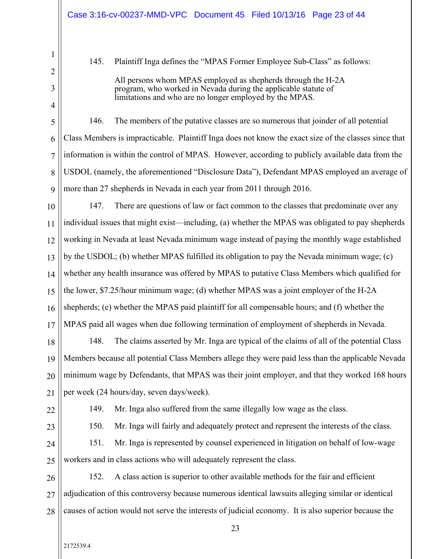145. Plaintiff Inga defines the "MPAS Former Employee Sub-Class" as follows:

All persons whom MPAS employed as shepherds through the H-2A program, who worked in Nevada during the applicable statute of limitations and who are no longer employed by the MPAS.

8 9 146. The members of the putative classes are so numerous that joinder of all potential Class Members is impracticable. Plaintiff Inga does not know the exact size of the classes since that information is within the control of MPAS. However, according to publicly available data from the USDOL (namely, the aforementioned "Disclosure Data"), Defendant MPAS employed an average of more than 27 shepherds in Nevada in each year from 2011 through 2016.

10 11 12 13 14 15 16 17 147. There are questions of law or fact common to the classes that predominate over any individual issues that might exist—including, (a) whether the MPAS was obligated to pay shepherds working in Nevada at least Nevada minimum wage instead of paying the monthly wage established by the USDOL; (b) whether MPAS fulfilled its obligation to pay the Nevada minimum wage; (c) whether any health insurance was offered by MPAS to putative Class Members which qualified for the lower, \$7.25/hour minimum wage; (d) whether MPAS was a joint employer of the H-2A shepherds; (e) whether the MPAS paid plaintiff for all compensable hours; and (f) whether the MPAS paid all wages when due following termination of employment of shepherds in Nevada.

18 19 20 21 148. The claims asserted by Mr. Inga are typical of the claims of all of the potential Class Members because all potential Class Members allege they were paid less than the applicable Nevada minimum wage by Defendants, that MPAS was their joint employer, and that they worked 168 hours per week (24 hours/day, seven days/week).

22

149. Mr. Inga also suffered from the same illegally low wage as the class.

23

150. Mr. Inga will fairly and adequately protect and represent the interests of the class.

24 25 151. Mr. Inga is represented by counsel experienced in litigation on behalf of low-wage workers and in class actions who will adequately represent the class.

26 27 28 152. A class action is superior to other available methods for the fair and efficient adjudication of this controversy because numerous identical lawsuits alleging similar or identical causes of action would not serve the interests of judicial economy. It is also superior because the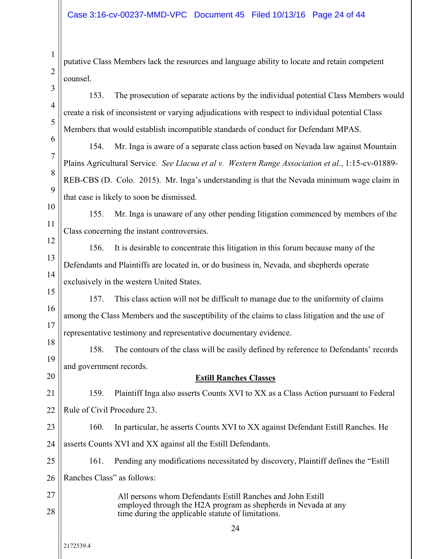putative Class Members lack the resources and language ability to locate and retain competent counsel.

153. The prosecution of separate actions by the individual potential Class Members would create a risk of inconsistent or varying adjudications with respect to individual potential Class Members that would establish incompatible standards of conduct for Defendant MPAS.

154. Mr. Inga is aware of a separate class action based on Nevada law against Mountain Plains Agricultural Service. *See Llacua et al v. Western Range Association et al.*, 1:15-cv-01889- REB-CBS (D. Colo. 2015). Mr. Inga's understanding is that the Nevada minimum wage claim in that case is likely to soon be dismissed.

10 11 155. Mr. Inga is unaware of any other pending litigation commenced by members of the Class concerning the instant controversies.

12 13 14 156. It is desirable to concentrate this litigation in this forum because many of the Defendants and Plaintiffs are located in, or do business in, Nevada, and shepherds operate exclusively in the western United States.

15 16 17 157. This class action will not be difficult to manage due to the uniformity of claims among the Class Members and the susceptibility of the claims to class litigation and the use of representative testimony and representative documentary evidence.

18 19 158. The contours of the class will be easily defined by reference to Defendants' records and government records.

# **Estill Ranches Classes**

21 22 159. Plaintiff Inga also asserts Counts XVI to XX as a Class Action pursuant to Federal Rule of Civil Procedure 23.

23 24 160. In particular, he asserts Counts XVI to XX against Defendant Estill Ranches. He asserts Counts XVI and XX against all the Estill Defendants.

25 26 161. Pending any modifications necessitated by discovery, Plaintiff defines the "Estill Ranches Class" as follows:

27 28 All persons whom Defendants Estill Ranches and John Estill employed through the H2A program as shepherds in Nevada at any time during the applicable statute of limitations.

1

2

3

4

5

6

7

8

9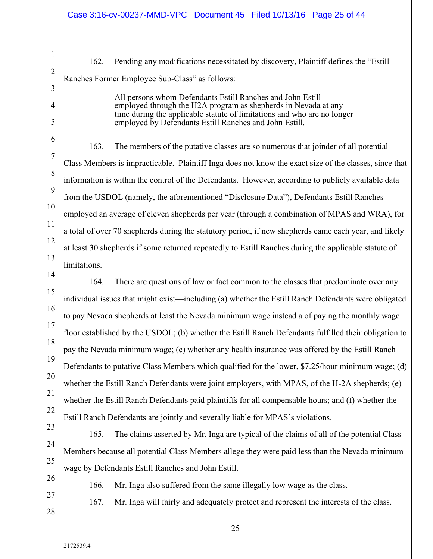162. Pending any modifications necessitated by discovery, Plaintiff defines the "Estill Ranches Former Employee Sub-Class" as follows:

> All persons whom Defendants Estill Ranches and John Estill employed through the H2A program as shepherds in Nevada at any time during the applicable statute of limitations and who are no longer employed by Defendants Estill Ranches and John Estill.

163. The members of the putative classes are so numerous that joinder of all potential Class Members is impracticable. Plaintiff Inga does not know the exact size of the classes, since that information is within the control of the Defendants. However, according to publicly available data from the USDOL (namely, the aforementioned "Disclosure Data"), Defendants Estill Ranches employed an average of eleven shepherds per year (through a combination of MPAS and WRA), for a total of over 70 shepherds during the statutory period, if new shepherds came each year, and likely at least 30 shepherds if some returned repeatedly to Estill Ranches during the applicable statute of limitations.

14 15 16 17 18 19 20 21 22 164. There are questions of law or fact common to the classes that predominate over any individual issues that might exist—including (a) whether the Estill Ranch Defendants were obligated to pay Nevada shepherds at least the Nevada minimum wage instead a of paying the monthly wage floor established by the USDOL; (b) whether the Estill Ranch Defendants fulfilled their obligation to pay the Nevada minimum wage; (c) whether any health insurance was offered by the Estill Ranch Defendants to putative Class Members which qualified for the lower, \$7.25/hour minimum wage; (d) whether the Estill Ranch Defendants were joint employers, with MPAS, of the H-2A shepherds; (e) whether the Estill Ranch Defendants paid plaintiffs for all compensable hours; and (f) whether the Estill Ranch Defendants are jointly and severally liable for MPAS's violations.

23 24 25 165. The claims asserted by Mr. Inga are typical of the claims of all of the potential Class Members because all potential Class Members allege they were paid less than the Nevada minimum wage by Defendants Estill Ranches and John Estill.

26 27

1

2

3

4

5

6

7

8

9

10

11

12

13

166. Mr. Inga also suffered from the same illegally low wage as the class.

28

167. Mr. Inga will fairly and adequately protect and represent the interests of the class.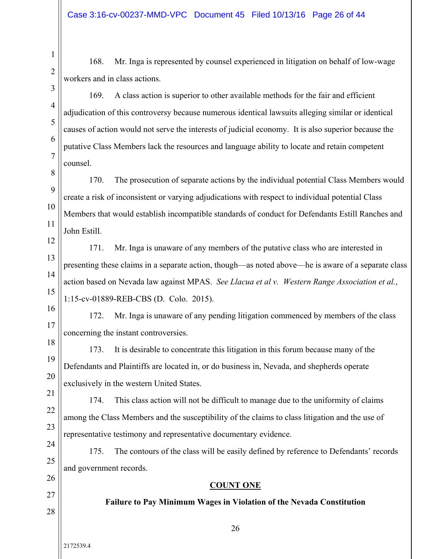168. Mr. Inga is represented by counsel experienced in litigation on behalf of low-wage workers and in class actions.

169. A class action is superior to other available methods for the fair and efficient adjudication of this controversy because numerous identical lawsuits alleging similar or identical causes of action would not serve the interests of judicial economy. It is also superior because the putative Class Members lack the resources and language ability to locate and retain competent counsel.

8 9 10 170. The prosecution of separate actions by the individual potential Class Members would create a risk of inconsistent or varying adjudications with respect to individual potential Class Members that would establish incompatible standards of conduct for Defendants Estill Ranches and John Estill.

13 14 15 171. Mr. Inga is unaware of any members of the putative class who are interested in presenting these claims in a separate action, though—as noted above—he is aware of a separate class action based on Nevada law against MPAS. *See Llacua et al v. Western Range Association et al.*, 1:15-cv-01889-REB-CBS (D. Colo. 2015).

172. Mr. Inga is unaware of any pending litigation commenced by members of the class concerning the instant controversies.

173. It is desirable to concentrate this litigation in this forum because many of the Defendants and Plaintiffs are located in, or do business in, Nevada, and shepherds operate exclusively in the western United States.

21 22 23 174. This class action will not be difficult to manage due to the uniformity of claims among the Class Members and the susceptibility of the claims to class litigation and the use of representative testimony and representative documentary evidence.

24 25 175. The contours of the class will be easily defined by reference to Defendants' records and government records.

26

27

1

2

3

4

5

6

7

11

12

16

17

18

19

20

28

26

**COUNT ONE** 

**Failure to Pay Minimum Wages in Violation of the Nevada Constitution**

2172539.4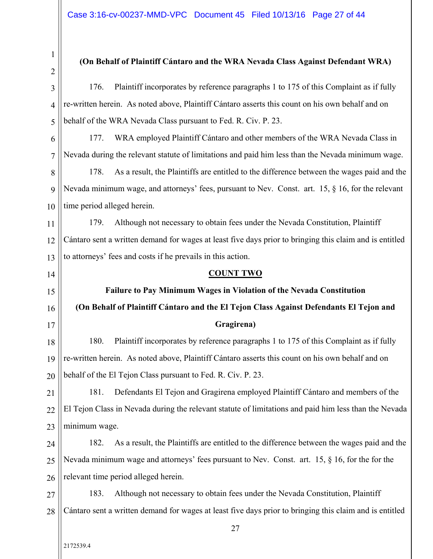1 2

#### **(On Behalf of Plaintiff Cántaro and the WRA Nevada Class Against Defendant WRA)**

3 4 5 176. Plaintiff incorporates by reference paragraphs 1 to 175 of this Complaint as if fully re-written herein. As noted above, Plaintiff Cántaro asserts this count on his own behalf and on behalf of the WRA Nevada Class pursuant to Fed. R. Civ. P. 23.

6 7 177. WRA employed Plaintiff Cántaro and other members of the WRA Nevada Class in Nevada during the relevant statute of limitations and paid him less than the Nevada minimum wage.

8 9 10 178. As a result, the Plaintiffs are entitled to the difference between the wages paid and the Nevada minimum wage, and attorneys' fees, pursuant to Nev. Const. art. 15, § 16, for the relevant time period alleged herein.

11 12 13 179. Although not necessary to obtain fees under the Nevada Constitution, Plaintiff Cántaro sent a written demand for wages at least five days prior to bringing this claim and is entitled to attorneys' fees and costs if he prevails in this action.

14

15

16

17

# **COUNT TWO**

**Failure to Pay Minimum Wages in Violation of the Nevada Constitution (On Behalf of Plaintiff Cántaro and the El Tejon Class Against Defendants El Tejon and Gragirena)** 

18 19 20 180. Plaintiff incorporates by reference paragraphs 1 to 175 of this Complaint as if fully re-written herein. As noted above, Plaintiff Cántaro asserts this count on his own behalf and on behalf of the El Tejon Class pursuant to Fed. R. Civ. P. 23.

21 22 23 181. Defendants El Tejon and Gragirena employed Plaintiff Cántaro and members of the El Tejon Class in Nevada during the relevant statute of limitations and paid him less than the Nevada minimum wage.

24 25 26 182. As a result, the Plaintiffs are entitled to the difference between the wages paid and the Nevada minimum wage and attorneys' fees pursuant to Nev. Const. art. 15, § 16, for the for the relevant time period alleged herein.

27 28 183. Although not necessary to obtain fees under the Nevada Constitution, Plaintiff Cántaro sent a written demand for wages at least five days prior to bringing this claim and is entitled

2172539.4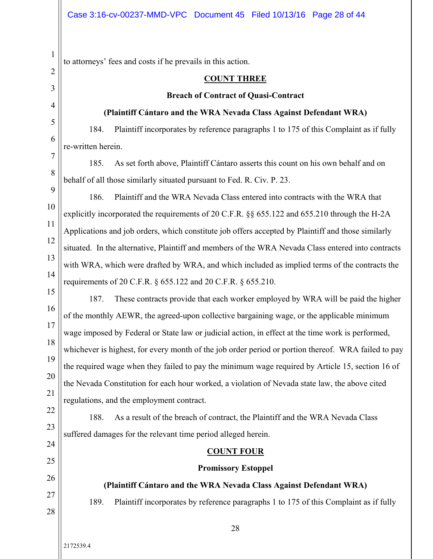1

2

3

4

5

7

8

9

25

26

27

28

2172539.4

to attorneys' fees and costs if he prevails in this action.

#### **COUNT THREE**

#### **Breach of Contract of Quasi-Contract**

#### **(Plaintiff Cántaro and the WRA Nevada Class Against Defendant WRA)**

184. Plaintiff incorporates by reference paragraphs 1 to 175 of this Complaint as if fully re-written herein.

185. As set forth above, Plaintiff Cántaro asserts this count on his own behalf and on behalf of all those similarly situated pursuant to Fed. R. Civ. P. 23.

13 14 186. Plaintiff and the WRA Nevada Class entered into contracts with the WRA that explicitly incorporated the requirements of 20 C.F.R. §§ 655.122 and 655.210 through the H-2A Applications and job orders, which constitute job offers accepted by Plaintiff and those similarly situated. In the alternative, Plaintiff and members of the WRA Nevada Class entered into contracts with WRA, which were drafted by WRA, and which included as implied terms of the contracts the requirements of 20 C.F.R. § 655.122 and 20 C.F.R. § 655.210.

15 16 17 18 19 20 21 187. These contracts provide that each worker employed by WRA will be paid the higher of the monthly AEWR, the agreed-upon collective bargaining wage, or the applicable minimum wage imposed by Federal or State law or judicial action, in effect at the time work is performed, whichever is highest, for every month of the job order period or portion thereof. WRA failed to pay the required wage when they failed to pay the minimum wage required by Article 15, section 16 of the Nevada Constitution for each hour worked, a violation of Nevada state law, the above cited regulations, and the employment contract.

22 23 24 188. As a result of the breach of contract, the Plaintiff and the WRA Nevada Class suffered damages for the relevant time period alleged herein.

# **COUNT FOUR**

# **Promissory Estoppel**

# **(Plaintiff Cántaro and the WRA Nevada Class Against Defendant WRA)**

189. Plaintiff incorporates by reference paragraphs 1 to 175 of this Complaint as if fully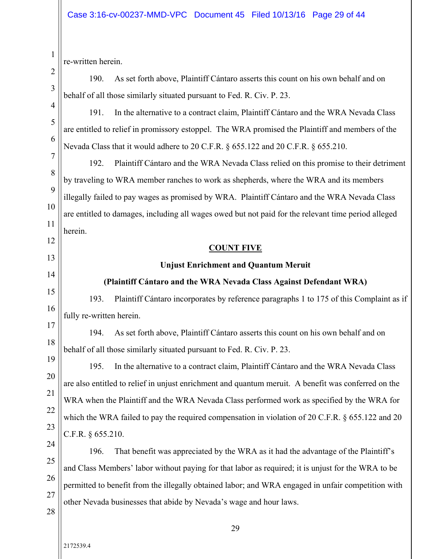re-written herein.

1

2

3

4

5

6

12

13

14

15

16

20

21

22

23

190. As set forth above, Plaintiff Cántaro asserts this count on his own behalf and on behalf of all those similarly situated pursuant to Fed. R. Civ. P. 23.

191. In the alternative to a contract claim, Plaintiff Cántaro and the WRA Nevada Class are entitled to relief in promissory estoppel. The WRA promised the Plaintiff and members of the Nevada Class that it would adhere to 20 C.F.R. § 655.122 and 20 C.F.R. § 655.210.

7 8 9 10 11 192. Plaintiff Cántaro and the WRA Nevada Class relied on this promise to their detriment by traveling to WRA member ranches to work as shepherds, where the WRA and its members illegally failed to pay wages as promised by WRA. Plaintiff Cántaro and the WRA Nevada Class are entitled to damages, including all wages owed but not paid for the relevant time period alleged herein.

# **COUNT FIVE**

# **Unjust Enrichment and Quantum Meruit**

# **(Plaintiff Cántaro and the WRA Nevada Class Against Defendant WRA)**

193. Plaintiff Cántaro incorporates by reference paragraphs 1 to 175 of this Complaint as if fully re-written herein.

17 18 19 194. As set forth above, Plaintiff Cántaro asserts this count on his own behalf and on behalf of all those similarly situated pursuant to Fed. R. Civ. P. 23.

195. In the alternative to a contract claim, Plaintiff Cántaro and the WRA Nevada Class are also entitled to relief in unjust enrichment and quantum meruit. A benefit was conferred on the WRA when the Plaintiff and the WRA Nevada Class performed work as specified by the WRA for which the WRA failed to pay the required compensation in violation of 20 C.F.R. § 655.122 and 20 C.F.R. § 655.210.

24 25 26 27 196. That benefit was appreciated by the WRA as it had the advantage of the Plaintiff's and Class Members' labor without paying for that labor as required; it is unjust for the WRA to be permitted to benefit from the illegally obtained labor; and WRA engaged in unfair competition with other Nevada businesses that abide by Nevada's wage and hour laws.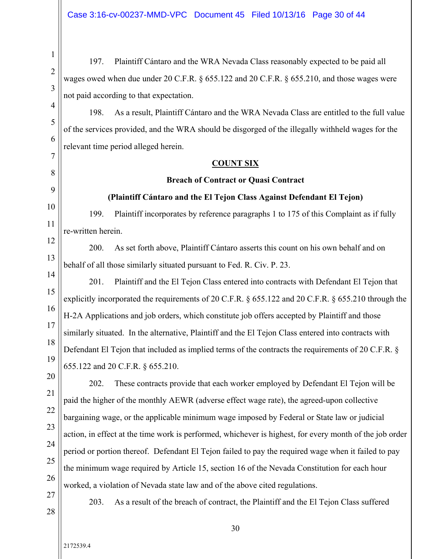197. Plaintiff Cántaro and the WRA Nevada Class reasonably expected to be paid all wages owed when due under 20 C.F.R. § 655.122 and 20 C.F.R. § 655.210, and those wages were not paid according to that expectation.

198. As a result, Plaintiff Cántaro and the WRA Nevada Class are entitled to the full value of the services provided, and the WRA should be disgorged of the illegally withheld wages for the relevant time period alleged herein.

#### **COUNT SIX**

#### **Breach of Contract or Quasi Contract**

#### **(Plaintiff Cántaro and the El Tejon Class Against Defendant El Tejon)**

199. Plaintiff incorporates by reference paragraphs 1 to 175 of this Complaint as if fully re-written herein.

12 13 200. As set forth above, Plaintiff Cántaro asserts this count on his own behalf and on behalf of all those similarly situated pursuant to Fed. R. Civ. P. 23.

15 16 17 18 201. Plaintiff and the El Tejon Class entered into contracts with Defendant El Tejon that explicitly incorporated the requirements of 20 C.F.R. § 655.122 and 20 C.F.R. § 655.210 through the H-2A Applications and job orders, which constitute job offers accepted by Plaintiff and those similarly situated. In the alternative, Plaintiff and the El Tejon Class entered into contracts with Defendant El Tejon that included as implied terms of the contracts the requirements of 20 C.F.R. § 655.122 and 20 C.F.R. § 655.210.

19 20 21

22

23

24

25

26

1

2

3

4

5

6

7

8

9

10

11

14

202. These contracts provide that each worker employed by Defendant El Tejon will be paid the higher of the monthly AEWR (adverse effect wage rate), the agreed-upon collective bargaining wage, or the applicable minimum wage imposed by Federal or State law or judicial action, in effect at the time work is performed, whichever is highest, for every month of the job order period or portion thereof. Defendant El Tejon failed to pay the required wage when it failed to pay the minimum wage required by Article 15, section 16 of the Nevada Constitution for each hour worked, a violation of Nevada state law and of the above cited regulations.

27 28

203. As a result of the breach of contract, the Plaintiff and the El Tejon Class suffered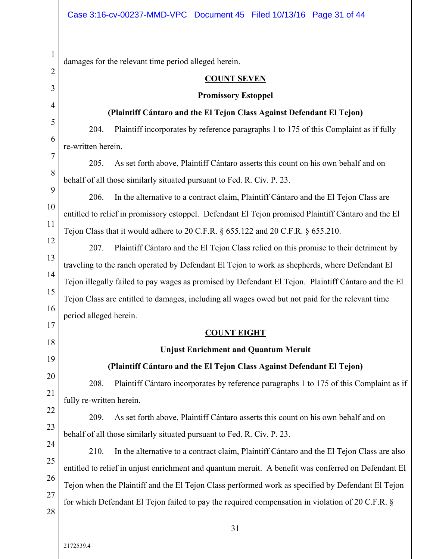1 2 3 4 5 6 7 8 9 10 11 12 13 14 15 16 17 18 19 20 21 22 23 24 25 26 27 28 31 damages for the relevant time period alleged herein. **COUNT SEVEN Promissory Estoppel (Plaintiff Cántaro and the El Tejon Class Against Defendant El Tejon)**  204. Plaintiff incorporates by reference paragraphs 1 to 175 of this Complaint as if fully re-written herein. 205. As set forth above, Plaintiff Cántaro asserts this count on his own behalf and on behalf of all those similarly situated pursuant to Fed. R. Civ. P. 23. 206. In the alternative to a contract claim, Plaintiff Cántaro and the El Tejon Class are entitled to relief in promissory estoppel. Defendant El Tejon promised Plaintiff Cántaro and the El Tejon Class that it would adhere to 20 C.F.R. § 655.122 and 20 C.F.R. § 655.210. 207. Plaintiff Cántaro and the El Tejon Class relied on this promise to their detriment by traveling to the ranch operated by Defendant El Tejon to work as shepherds, where Defendant El Tejon illegally failed to pay wages as promised by Defendant El Tejon. Plaintiff Cántaro and the El Tejon Class are entitled to damages, including all wages owed but not paid for the relevant time period alleged herein. **COUNT EIGHT Unjust Enrichment and Quantum Meruit (Plaintiff Cántaro and the El Tejon Class Against Defendant El Tejon)** 208. Plaintiff Cántaro incorporates by reference paragraphs 1 to 175 of this Complaint as if fully re-written herein. 209. As set forth above, Plaintiff Cántaro asserts this count on his own behalf and on behalf of all those similarly situated pursuant to Fed. R. Civ. P. 23. 210. In the alternative to a contract claim, Plaintiff Cántaro and the El Tejon Class are also entitled to relief in unjust enrichment and quantum meruit. A benefit was conferred on Defendant El Tejon when the Plaintiff and the El Tejon Class performed work as specified by Defendant El Tejon for which Defendant El Tejon failed to pay the required compensation in violation of 20 C.F.R. §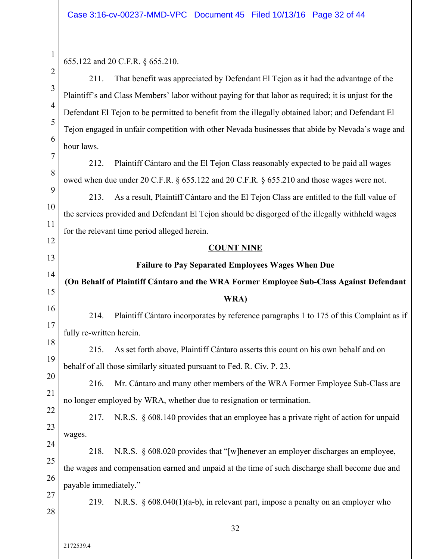| $\mathbf{r}$   | 655.122 and 20 C.F.R. § 655.210.                                                                     |  |  |  |  |
|----------------|------------------------------------------------------------------------------------------------------|--|--|--|--|
| $\overline{2}$ | That benefit was appreciated by Defendant El Tejon as it had the advantage of the<br>211.            |  |  |  |  |
| $\overline{3}$ | Plaintiff's and Class Members' labor without paying for that labor as required; it is unjust for the |  |  |  |  |
| $\overline{4}$ | Defendant El Tejon to be permitted to benefit from the illegally obtained labor; and Defendant El    |  |  |  |  |
| 5              | Tejon engaged in unfair competition with other Nevada businesses that abide by Nevada's wage and     |  |  |  |  |
| 6              | hour laws.                                                                                           |  |  |  |  |
| $\overline{7}$ | Plaintiff Cántaro and the El Tejon Class reasonably expected to be paid all wages<br>212.            |  |  |  |  |
| 8              | owed when due under 20 C.F.R. § 655.122 and 20 C.F.R. § 655.210 and those wages were not.            |  |  |  |  |
| 9              | As a result, Plaintiff Cántaro and the El Tejon Class are entitled to the full value of<br>213.      |  |  |  |  |
| 10             | the services provided and Defendant El Tejon should be disgorged of the illegally withheld wages     |  |  |  |  |
| 11             | for the relevant time period alleged herein.                                                         |  |  |  |  |
| 12<br>13       | <b>COUNT NINE</b>                                                                                    |  |  |  |  |
| 14             | Failure to Pay Separated Employees Wages When Due                                                    |  |  |  |  |
| 15             | (On Behalf of Plaintiff Cántaro and the WRA Former Employee Sub-Class Against Defendant              |  |  |  |  |
| 16             | WRA)                                                                                                 |  |  |  |  |
| 17             | Plaintiff Cántaro incorporates by reference paragraphs 1 to 175 of this Complaint as if<br>214.      |  |  |  |  |
| 18             | fully re-written herein.                                                                             |  |  |  |  |
| 19             | 215.<br>As set forth above, Plaintiff Cántaro asserts this count on his own behalf and on            |  |  |  |  |
| 20             | behalf of all those similarly situated pursuant to Fed. R. Civ. P. 23.                               |  |  |  |  |
|                |                                                                                                      |  |  |  |  |
|                | Mr. Cántaro and many other members of the WRA Former Employee Sub-Class are<br>216.                  |  |  |  |  |
| 21             | no longer employed by WRA, whether due to resignation or termination.                                |  |  |  |  |
| 22             | N.R.S. § 608.140 provides that an employee has a private right of action for unpaid<br>217.          |  |  |  |  |
| 23             | wages.                                                                                               |  |  |  |  |
| 24             | N.R.S. § 608.020 provides that "[w] henever an employer discharges an employee,<br>218.              |  |  |  |  |
| 25             | the wages and compensation earned and unpaid at the time of such discharge shall become due and      |  |  |  |  |
| 26             | payable immediately."                                                                                |  |  |  |  |
| 27<br>28       | N.R.S. § 608.040(1)(a-b), in relevant part, impose a penalty on an employer who<br>219.              |  |  |  |  |
|                | 32                                                                                                   |  |  |  |  |
|                | 2172539.4                                                                                            |  |  |  |  |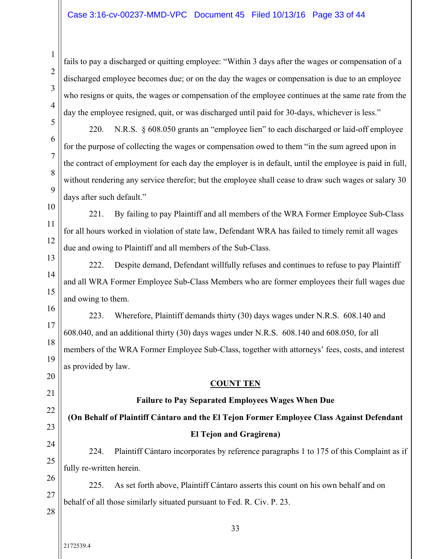#### Case 3:16-cv-00237-MMD-VPC Document 45 Filed 10/13/16 Page 33 of 44

fails to pay a discharged or quitting employee: "Within 3 days after the wages or compensation of a discharged employee becomes due; or on the day the wages or compensation is due to an employee who resigns or quits, the wages or compensation of the employee continues at the same rate from the day the employee resigned, quit, or was discharged until paid for 30-days, whichever is less."

220. N.R.S. § 608.050 grants an "employee lien" to each discharged or laid-off employee for the purpose of collecting the wages or compensation owed to them "in the sum agreed upon in the contract of employment for each day the employer is in default, until the employee is paid in full, without rendering any service therefor; but the employee shall cease to draw such wages or salary 30 days after such default."

10 11 12 221. By failing to pay Plaintiff and all members of the WRA Former Employee Sub-Class for all hours worked in violation of state law, Defendant WRA has failed to timely remit all wages due and owing to Plaintiff and all members of the Sub-Class.

13 14 15 222. Despite demand, Defendant willfully refuses and continues to refuse to pay Plaintiff and all WRA Former Employee Sub-Class Members who are former employees their full wages due and owing to them.

16 17 18 19 223. Wherefore, Plaintiff demands thirty (30) days wages under N.R.S. 608.140 and 608.040, and an additional thirty (30) days wages under N.R.S. 608.140 and 608.050, for all members of the WRA Former Employee Sub-Class, together with attorneys' fees, costs, and interest as provided by law.

#### **COUNT TEN**

# **Failure to Pay Separated Employees Wages When Due**

# **(On Behalf of Plaintiff Cántaro and the El Tejon Former Employee Class Against Defendant El Tejon and Gragirena)**

24 25 224. Plaintiff Cántaro incorporates by reference paragraphs 1 to 175 of this Complaint as if fully re-written herein.

26 27 225. As set forth above, Plaintiff Cántaro asserts this count on his own behalf and on behalf of all those similarly situated pursuant to Fed. R. Civ. P. 23.

28

20

21

22

23

1

2

3

4

5

6

7

8

9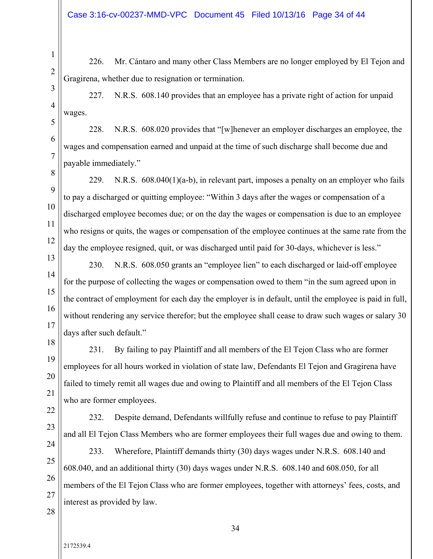226. Mr. Cántaro and many other Class Members are no longer employed by El Tejon and Gragirena, whether due to resignation or termination.

227. N.R.S. 608.140 provides that an employee has a private right of action for unpaid wages.

228. N.R.S. 608.020 provides that "[w]henever an employer discharges an employee, the wages and compensation earned and unpaid at the time of such discharge shall become due and payable immediately."

229. N.R.S.  $608.040(1)(a-b)$ , in relevant part, imposes a penalty on an employer who fails to pay a discharged or quitting employee: "Within 3 days after the wages or compensation of a discharged employee becomes due; or on the day the wages or compensation is due to an employee who resigns or quits, the wages or compensation of the employee continues at the same rate from the day the employee resigned, quit, or was discharged until paid for 30-days, whichever is less."

230. N.R.S. 608.050 grants an "employee lien" to each discharged or laid-off employee for the purpose of collecting the wages or compensation owed to them "in the sum agreed upon in the contract of employment for each day the employer is in default, until the employee is paid in full, without rendering any service therefor; but the employee shall cease to draw such wages or salary 30 days after such default."

231. By failing to pay Plaintiff and all members of the El Tejon Class who are former employees for all hours worked in violation of state law, Defendants El Tejon and Gragirena have failed to timely remit all wages due and owing to Plaintiff and all members of the El Tejon Class who are former employees.

232. Despite demand, Defendants willfully refuse and continue to refuse to pay Plaintiff and all El Tejon Class Members who are former employees their full wages due and owing to them.

233. Wherefore, Plaintiff demands thirty (30) days wages under N.R.S. 608.140 and 608.040, and an additional thirty (30) days wages under N.R.S. 608.140 and 608.050, for all members of the El Tejon Class who are former employees, together with attorneys' fees, costs, and interest as provided by law.

28

1

2

3

4

5

6

7

8

9

10

11

12

13

14

15

16

17

18

19

20

21

22

23

24

25

26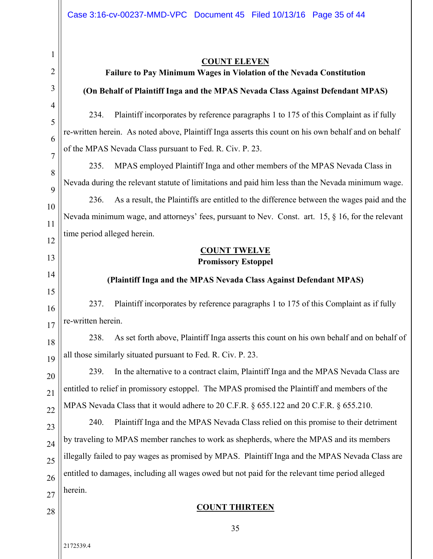| l                   |
|---------------------|
|                     |
| 2                   |
| 3                   |
| 4                   |
| 5                   |
| 6                   |
| 7                   |
| 8                   |
| 9                   |
| 10                  |
| $\mathbf{1}$<br>1   |
| 1<br>$\overline{c}$ |
| 13                  |
| 1<br>4              |
| 15                  |
| 16                  |
| 17                  |
| 18                  |
| 1<br>9              |
| 20                  |
| $\overline{21}$     |
| 22                  |
| 23                  |

#### **COUNT ELEVEN**

# **Failure to Pay Minimum Wages in Violation of the Nevada Constitution**

# **(On Behalf of Plaintiff Inga and the MPAS Nevada Class Against Defendant MPAS)**

234. Plaintiff incorporates by reference paragraphs 1 to 175 of this Complaint as if fully re-written herein. As noted above, Plaintiff Inga asserts this count on his own behalf and on behalf of the MPAS Nevada Class pursuant to Fed. R. Civ. P. 23.

235. MPAS employed Plaintiff Inga and other members of the MPAS Nevada Class in Nevada during the relevant statute of limitations and paid him less than the Nevada minimum wage.

236. As a result, the Plaintiffs are entitled to the difference between the wages paid and the Nevada minimum wage, and attorneys' fees, pursuant to Nev. Const. art. 15, § 16, for the relevant time period alleged herein.

# **COUNT TWELVE Promissory Estoppel**

# **(Plaintiff Inga and the MPAS Nevada Class Against Defendant MPAS)**

16 17 237. Plaintiff incorporates by reference paragraphs 1 to 175 of this Complaint as if fully re-written herein.

18  $\overline{9}$ 238. As set forth above, Plaintiff Inga asserts this count on his own behalf and on behalf of all those similarly situated pursuant to Fed. R. Civ. P. 23.

 $\overline{0}$  $\overline{2}$ 239. In the alternative to a contract claim, Plaintiff Inga and the MPAS Nevada Class are entitled to relief in promissory estoppel. The MPAS promised the Plaintiff and members of the MPAS Nevada Class that it would adhere to 20 C.F.R. § 655.122 and 20 C.F.R. § 655.210.

3 24 25 26 27 240. Plaintiff Inga and the MPAS Nevada Class relied on this promise to their detriment by traveling to MPAS member ranches to work as shepherds, where the MPAS and its members illegally failed to pay wages as promised by MPAS. Plaintiff Inga and the MPAS Nevada Class are entitled to damages, including all wages owed but not paid for the relevant time period alleged herein.

# **COUNT THIRTEEN**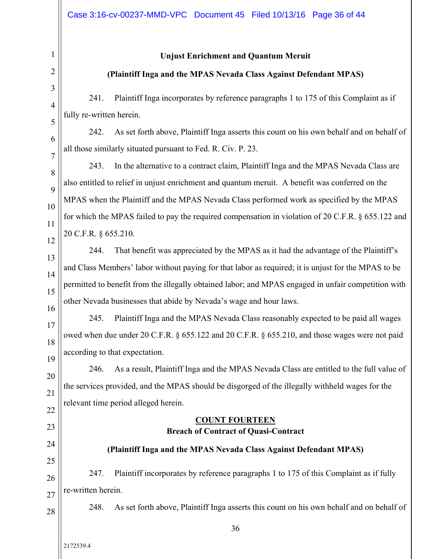#### **Unjust Enrichment and Quantum Meruit**

#### **(Plaintiff Inga and the MPAS Nevada Class Against Defendant MPAS)**

241. Plaintiff Inga incorporates by reference paragraphs 1 to 175 of this Complaint as if fully re-written herein.

242. As set forth above, Plaintiff Inga asserts this count on his own behalf and on behalf of all those similarly situated pursuant to Fed. R. Civ. P. 23.

243. In the alternative to a contract claim, Plaintiff Inga and the MPAS Nevada Class are also entitled to relief in unjust enrichment and quantum meruit. A benefit was conferred on the MPAS when the Plaintiff and the MPAS Nevada Class performed work as specified by the MPAS for which the MPAS failed to pay the required compensation in violation of 20 C.F.R. § 655.122 and 20 C.F.R. § 655.210.

244. That benefit was appreciated by the MPAS as it had the advantage of the Plaintiff's and Class Members' labor without paying for that labor as required; it is unjust for the MPAS to be permitted to benefit from the illegally obtained labor; and MPAS engaged in unfair competition with other Nevada businesses that abide by Nevada's wage and hour laws.

18 19 245. Plaintiff Inga and the MPAS Nevada Class reasonably expected to be paid all wages owed when due under 20 C.F.R. § 655.122 and 20 C.F.R. § 655.210, and those wages were not paid according to that expectation.

20 21 22 246. As a result, Plaintiff Inga and the MPAS Nevada Class are entitled to the full value of the services provided, and the MPAS should be disgorged of the illegally withheld wages for the relevant time period alleged herein.

# **COUNT FOURTEEN Breach of Contract of Quasi-Contract**

# 24 25

28

23

# **(Plaintiff Inga and the MPAS Nevada Class Against Defendant MPAS)**

26 27 247. Plaintiff incorporates by reference paragraphs 1 to 175 of this Complaint as if fully re-written herein.

248. As set forth above, Plaintiff Inga asserts this count on his own behalf and on behalf of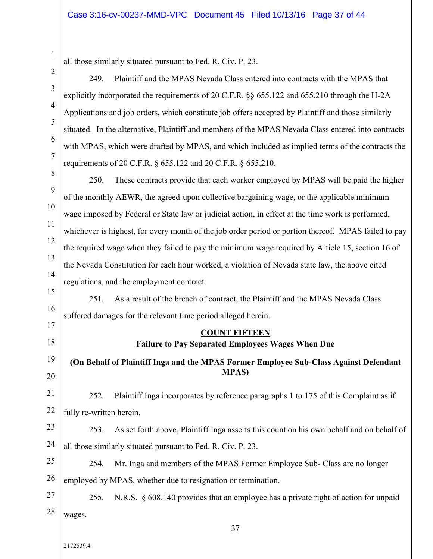| 1 |
|---|
| 2 |
| 3 |

4

5

6

7

17

18

20

all those similarly situated pursuant to Fed. R. Civ. P. 23.

249. Plaintiff and the MPAS Nevada Class entered into contracts with the MPAS that explicitly incorporated the requirements of 20 C.F.R. §§ 655.122 and 655.210 through the H-2A Applications and job orders, which constitute job offers accepted by Plaintiff and those similarly situated. In the alternative, Plaintiff and members of the MPAS Nevada Class entered into contracts with MPAS, which were drafted by MPAS, and which included as implied terms of the contracts the requirements of 20 C.F.R. § 655.122 and 20 C.F.R. § 655.210.

8 9 10 11 12 13 14 250. These contracts provide that each worker employed by MPAS will be paid the higher of the monthly AEWR, the agreed-upon collective bargaining wage, or the applicable minimum wage imposed by Federal or State law or judicial action, in effect at the time work is performed, whichever is highest, for every month of the job order period or portion thereof. MPAS failed to pay the required wage when they failed to pay the minimum wage required by Article 15, section 16 of the Nevada Constitution for each hour worked, a violation of Nevada state law, the above cited regulations, and the employment contract.

15 16 251. As a result of the breach of contract, the Plaintiff and the MPAS Nevada Class suffered damages for the relevant time period alleged herein.

# **COUNT FIFTEEN**

# **Failure to Pay Separated Employees Wages When Due**

19 **(On Behalf of Plaintiff Inga and the MPAS Former Employee Sub-Class Against Defendant MPAS)** 

21 22 252. Plaintiff Inga incorporates by reference paragraphs 1 to 175 of this Complaint as if fully re-written herein.

23 24 253. As set forth above, Plaintiff Inga asserts this count on his own behalf and on behalf of all those similarly situated pursuant to Fed. R. Civ. P. 23.

25 26 254. Mr. Inga and members of the MPAS Former Employee Sub- Class are no longer employed by MPAS, whether due to resignation or termination.

27 28 255. N.R.S. § 608.140 provides that an employee has a private right of action for unpaid wages.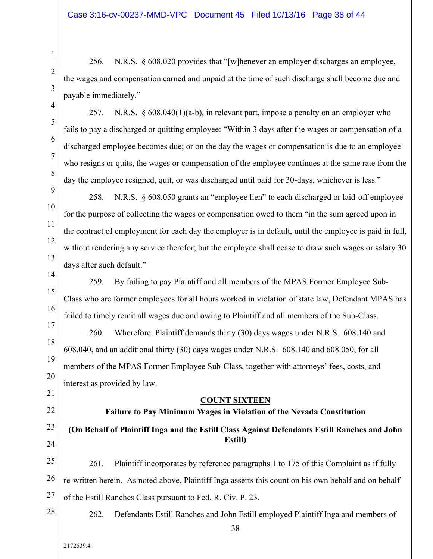256. N.R.S. § 608.020 provides that "[w]henever an employer discharges an employee, the wages and compensation earned and unpaid at the time of such discharge shall become due and payable immediately."

257. N.R.S. § 608.040(1)(a-b), in relevant part, impose a penalty on an employer who fails to pay a discharged or quitting employee: "Within 3 days after the wages or compensation of a discharged employee becomes due; or on the day the wages or compensation is due to an employee who resigns or quits, the wages or compensation of the employee continues at the same rate from the day the employee resigned, quit, or was discharged until paid for 30-days, whichever is less."

258. N.R.S. § 608.050 grants an "employee lien" to each discharged or laid-off employee for the purpose of collecting the wages or compensation owed to them "in the sum agreed upon in the contract of employment for each day the employer is in default, until the employee is paid in full, without rendering any service therefor; but the employee shall cease to draw such wages or salary 30 days after such default."

14 15 16 259. By failing to pay Plaintiff and all members of the MPAS Former Employee Sub-Class who are former employees for all hours worked in violation of state law, Defendant MPAS has failed to timely remit all wages due and owing to Plaintiff and all members of the Sub-Class.

18 19 20 260. Wherefore, Plaintiff demands thirty (30) days wages under N.R.S. 608.140 and 608.040, and an additional thirty (30) days wages under N.R.S. 608.140 and 608.050, for all members of the MPAS Former Employee Sub-Class, together with attorneys' fees, costs, and interest as provided by law.

**COUNT SIXTEEN** 

# **Failure to Pay Minimum Wages in Violation of the Nevada Constitution**

#### 23 24 **(On Behalf of Plaintiff Inga and the Estill Class Against Defendants Estill Ranches and John Estill)**

21

22

1

2

3

4

5

6

7

8

9

10

11

12

13

17

25 26 27 261. Plaintiff incorporates by reference paragraphs 1 to 175 of this Complaint as if fully re-written herein. As noted above, Plaintiff Inga asserts this count on his own behalf and on behalf of the Estill Ranches Class pursuant to Fed. R. Civ. P. 23.

28

2172539.4

262. Defendants Estill Ranches and John Estill employed Plaintiff Inga and members of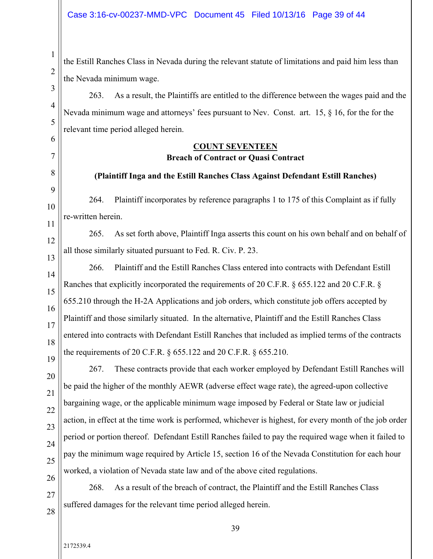the Estill Ranches Class in Nevada during the relevant statute of limitations and paid him less than the Nevada minimum wage.

4 263. As a result, the Plaintiffs are entitled to the difference between the wages paid and the Nevada minimum wage and attorneys' fees pursuant to Nev. Const. art. 15, § 16, for the for the relevant time period alleged herein.

# **COUNT SEVENTEEN Breach of Contract or Quasi Contract**

# **(Plaintiff Inga and the Estill Ranches Class Against Defendant Estill Ranches)**

264. Plaintiff incorporates by reference paragraphs 1 to 175 of this Complaint as if fully re-written herein.

265. As set forth above, Plaintiff Inga asserts this count on his own behalf and on behalf of all those similarly situated pursuant to Fed. R. Civ. P. 23.

14 15 16 17 18 19 266. Plaintiff and the Estill Ranches Class entered into contracts with Defendant Estill Ranches that explicitly incorporated the requirements of 20 C.F.R. § 655.122 and 20 C.F.R. § 655.210 through the H-2A Applications and job orders, which constitute job offers accepted by Plaintiff and those similarly situated. In the alternative, Plaintiff and the Estill Ranches Class entered into contracts with Defendant Estill Ranches that included as implied terms of the contracts the requirements of 20 C.F.R. § 655.122 and 20 C.F.R. § 655.210.

20 21 22 23 24 25 26 267. These contracts provide that each worker employed by Defendant Estill Ranches will be paid the higher of the monthly AEWR (adverse effect wage rate), the agreed-upon collective bargaining wage, or the applicable minimum wage imposed by Federal or State law or judicial action, in effect at the time work is performed, whichever is highest, for every month of the job order period or portion thereof. Defendant Estill Ranches failed to pay the required wage when it failed to pay the minimum wage required by Article 15, section 16 of the Nevada Constitution for each hour worked, a violation of Nevada state law and of the above cited regulations.

27 28 268. As a result of the breach of contract, the Plaintiff and the Estill Ranches Class suffered damages for the relevant time period alleged herein.

1

2

3

5

6

7

8

9

10

11

12

13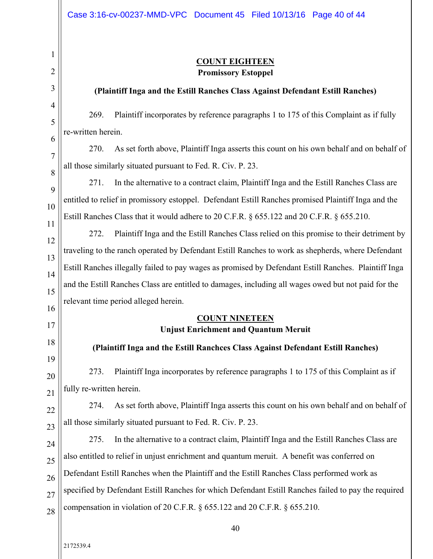# **COUNT EIGHTEEN Promissory Estoppel**

# **(Plaintiff Inga and the Estill Ranches Class Against Defendant Estill Ranches)**

269. Plaintiff incorporates by reference paragraphs 1 to 175 of this Complaint as if fully re-written herein.

8 270. As set forth above, Plaintiff Inga asserts this count on his own behalf and on behalf of all those similarly situated pursuant to Fed. R. Civ. P. 23.

9 10 271. In the alternative to a contract claim, Plaintiff Inga and the Estill Ranches Class are entitled to relief in promissory estoppel. Defendant Estill Ranches promised Plaintiff Inga and the Estill Ranches Class that it would adhere to 20 C.F.R. § 655.122 and 20 C.F.R. § 655.210.

12 13 14 15 272. Plaintiff Inga and the Estill Ranches Class relied on this promise to their detriment by traveling to the ranch operated by Defendant Estill Ranches to work as shepherds, where Defendant Estill Ranches illegally failed to pay wages as promised by Defendant Estill Ranches. Plaintiff Inga and the Estill Ranches Class are entitled to damages, including all wages owed but not paid for the relevant time period alleged herein.

# **COUNT NINETEEN**

# **Unjust Enrichment and Quantum Meruit**

**(Plaintiff Inga and the Estill Ranchces Class Against Defendant Estill Ranches)** 

20 21 273. Plaintiff Inga incorporates by reference paragraphs 1 to 175 of this Complaint as if fully re-written herein.

22 23 274. As set forth above, Plaintiff Inga asserts this count on his own behalf and on behalf of all those similarly situated pursuant to Fed. R. Civ. P. 23.

24 25 26 27 28 275. In the alternative to a contract claim, Plaintiff Inga and the Estill Ranches Class are also entitled to relief in unjust enrichment and quantum meruit. A benefit was conferred on Defendant Estill Ranches when the Plaintiff and the Estill Ranches Class performed work as specified by Defendant Estill Ranches for which Defendant Estill Ranches failed to pay the required compensation in violation of 20 C.F.R. § 655.122 and 20 C.F.R. § 655.210.

40

1

2

3

4

5

6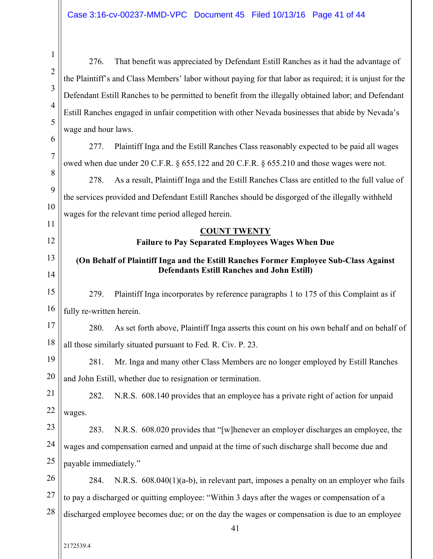1 2 3 4 5 6 7 8 9 10 11 12 13 14 15 16 17 18 19 20 21 22 23 24 25 26 27 28 41 276. That benefit was appreciated by Defendant Estill Ranches as it had the advantage of the Plaintiff's and Class Members' labor without paying for that labor as required; it is unjust for the Defendant Estill Ranches to be permitted to benefit from the illegally obtained labor; and Defendant Estill Ranches engaged in unfair competition with other Nevada businesses that abide by Nevada's wage and hour laws. 277. Plaintiff Inga and the Estill Ranches Class reasonably expected to be paid all wages owed when due under 20 C.F.R. § 655.122 and 20 C.F.R. § 655.210 and those wages were not. 278. As a result, Plaintiff Inga and the Estill Ranches Class are entitled to the full value of the services provided and Defendant Estill Ranches should be disgorged of the illegally withheld wages for the relevant time period alleged herein. **COUNT TWENTY Failure to Pay Separated Employees Wages When Due (On Behalf of Plaintiff Inga and the Estill Ranches Former Employee Sub-Class Against Defendants Estill Ranches and John Estill)**  279. Plaintiff Inga incorporates by reference paragraphs 1 to 175 of this Complaint as if fully re-written herein. 280. As set forth above, Plaintiff Inga asserts this count on his own behalf and on behalf of all those similarly situated pursuant to Fed. R. Civ. P. 23. 281. Mr. Inga and many other Class Members are no longer employed by Estill Ranches and John Estill, whether due to resignation or termination. 282. N.R.S. 608.140 provides that an employee has a private right of action for unpaid wages. 283. N.R.S. 608.020 provides that "[w]henever an employer discharges an employee, the wages and compensation earned and unpaid at the time of such discharge shall become due and payable immediately." 284. N.R.S. 608.040(1)(a-b), in relevant part, imposes a penalty on an employer who fails to pay a discharged or quitting employee: "Within 3 days after the wages or compensation of a discharged employee becomes due; or on the day the wages or compensation is due to an employee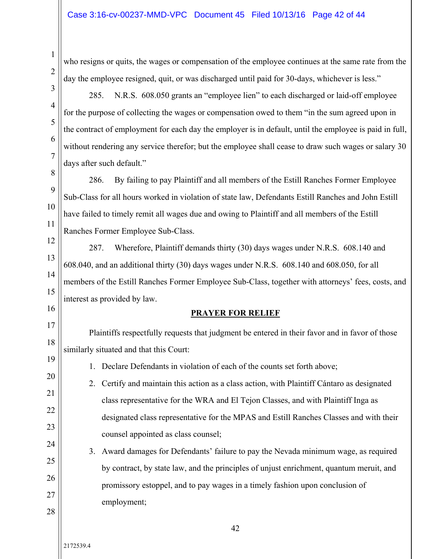who resigns or quits, the wages or compensation of the employee continues at the same rate from the day the employee resigned, quit, or was discharged until paid for 30-days, whichever is less."

285. N.R.S. 608.050 grants an "employee lien" to each discharged or laid-off employee for the purpose of collecting the wages or compensation owed to them "in the sum agreed upon in the contract of employment for each day the employer is in default, until the employee is paid in full, without rendering any service therefor; but the employee shall cease to draw such wages or salary 30 days after such default."

8 9 10 11 286. By failing to pay Plaintiff and all members of the Estill Ranches Former Employee Sub-Class for all hours worked in violation of state law, Defendants Estill Ranches and John Estill have failed to timely remit all wages due and owing to Plaintiff and all members of the Estill Ranches Former Employee Sub-Class.

12 13 14 15 287. Wherefore, Plaintiff demands thirty (30) days wages under N.R.S. 608.140 and 608.040, and an additional thirty (30) days wages under N.R.S. 608.140 and 608.050, for all members of the Estill Ranches Former Employee Sub-Class, together with attorneys' fees, costs, and interest as provided by law.

# **PRAYER FOR RELIEF**

17 18 Plaintiffs respectfully requests that judgment be entered in their favor and in favor of those similarly situated and that this Court:

19 20

21

22

23

28

16

1

2

3

4

5

6

7

1. Declare Defendants in violation of each of the counts set forth above;

- 2. Certify and maintain this action as a class action, with Plaintiff Cántaro as designated class representative for the WRA and El Tejon Classes, and with Plaintiff Inga as designated class representative for the MPAS and Estill Ranches Classes and with their counsel appointed as class counsel;
- 24 25 26 27 3. Award damages for Defendants' failure to pay the Nevada minimum wage, as required by contract, by state law, and the principles of unjust enrichment, quantum meruit, and promissory estoppel, and to pay wages in a timely fashion upon conclusion of employment;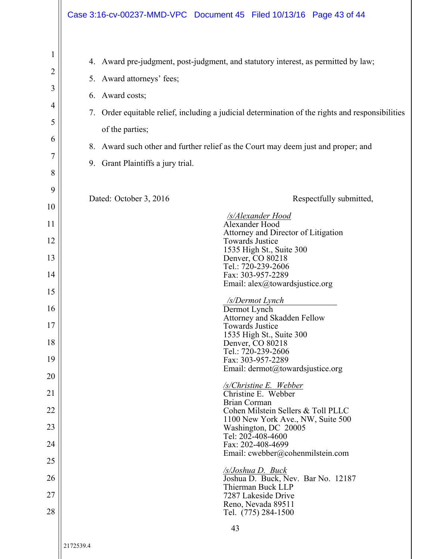|                                      |                                                                                                            | Case 3:16-cv-00237-MMD-VPC Document 45 Filed 10/13/16 Page 43 of 44                                                                                                                                                                                                      |
|--------------------------------------|------------------------------------------------------------------------------------------------------------|--------------------------------------------------------------------------------------------------------------------------------------------------------------------------------------------------------------------------------------------------------------------------|
| 1<br>2<br>3<br>4<br>5<br>6<br>7<br>8 | 5. Award attorneys' fees;<br>6. Award costs;<br>7.<br>of the parties;<br>9. Grant Plaintiffs a jury trial. | 4. Award pre-judgment, post-judgment, and statutory interest, as permitted by law;<br>Order equitable relief, including a judicial determination of the rights and responsibilities<br>8. Award such other and further relief as the Court may deem just and proper; and |
| 9<br>10                              | Dated: October 3, 2016                                                                                     | Respectfully submitted,                                                                                                                                                                                                                                                  |
| 11                                   |                                                                                                            | /s/Alexander Hood<br>Alexander Hood                                                                                                                                                                                                                                      |
| 12                                   |                                                                                                            | Attorney and Director of Litigation<br><b>Towards Justice</b>                                                                                                                                                                                                            |
| 13                                   |                                                                                                            | 1535 High St., Suite 300<br>Denver, CO 80218<br>Tel.: 720-239-2606                                                                                                                                                                                                       |
| 14                                   |                                                                                                            | Fax: 303-957-2289<br>Email: alex@towardsjustice.org                                                                                                                                                                                                                      |
| 15                                   |                                                                                                            | /s/Dermot Lynch                                                                                                                                                                                                                                                          |
| 16                                   |                                                                                                            | Dermot Lynch<br>Attorney and Skadden Fellow                                                                                                                                                                                                                              |
| 17<br>18                             |                                                                                                            | <b>Towards Justice</b><br>1535 High St., Suite 300<br>Denver, CO 80218                                                                                                                                                                                                   |
| 19                                   |                                                                                                            | Tel.: 720-239-2606<br>Fax: 303-957-2289                                                                                                                                                                                                                                  |
| 20                                   |                                                                                                            | Email: dermot@towardsjustice.org                                                                                                                                                                                                                                         |
| 21                                   |                                                                                                            | <u>/s/Christine E. Webber</u><br>Christine E. Webber                                                                                                                                                                                                                     |
| 22                                   |                                                                                                            | Brian Corman<br>Cohen Milstein Sellers & Toll PLLC<br>1100 New York Ave., NW, Suite 500                                                                                                                                                                                  |
| 23                                   |                                                                                                            | Washington, DC 20005<br>Tel: 202-408-4600                                                                                                                                                                                                                                |
| 24                                   |                                                                                                            | Fax: 202-408-4699<br>Email: cwebber@cohenmilstein.com                                                                                                                                                                                                                    |
| 25                                   |                                                                                                            | <b>S</b> /Joshua D. Buck                                                                                                                                                                                                                                                 |
| 26<br>27                             |                                                                                                            | Joshua D. Buck, Nev. Bar No. 12187<br>Thierman Buck LLP<br>7287 Lakeside Drive                                                                                                                                                                                           |
| 28                                   |                                                                                                            | Reno, Nevada 89511<br>Tel. (775) 284-1500                                                                                                                                                                                                                                |
|                                      |                                                                                                            | 43                                                                                                                                                                                                                                                                       |
|                                      |                                                                                                            |                                                                                                                                                                                                                                                                          |

 $\mathbf{I}$